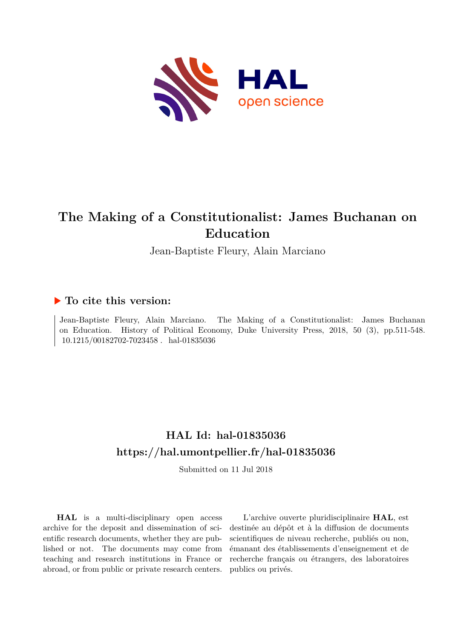

# **The Making of a Constitutionalist: James Buchanan on Education**

Jean-Baptiste Fleury, Alain Marciano

## **To cite this version:**

Jean-Baptiste Fleury, Alain Marciano. The Making of a Constitutionalist: James Buchanan on Education. History of Political Economy, Duke University Press, 2018, 50 (3), pp.511-548.  $10.1215/00182702\mbox{-}7023458$  .  $\emph{hal-01835036}$ 

# **HAL Id: hal-01835036 <https://hal.umontpellier.fr/hal-01835036>**

Submitted on 11 Jul 2018

**HAL** is a multi-disciplinary open access archive for the deposit and dissemination of scientific research documents, whether they are published or not. The documents may come from teaching and research institutions in France or abroad, or from public or private research centers.

L'archive ouverte pluridisciplinaire **HAL**, est destinée au dépôt et à la diffusion de documents scientifiques de niveau recherche, publiés ou non, émanant des établissements d'enseignement et de recherche français ou étrangers, des laboratoires publics ou privés.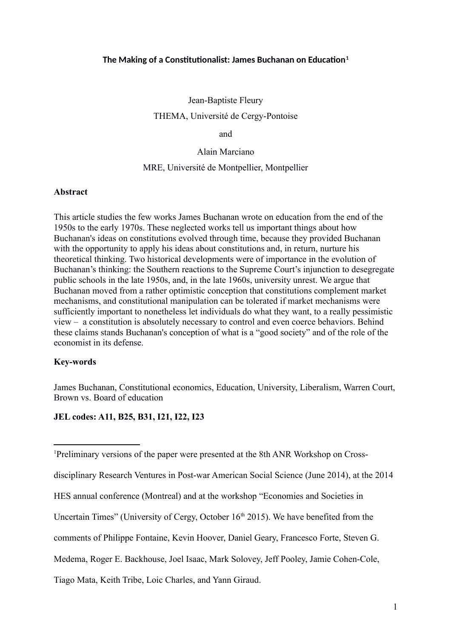### **The Making of a Constitutionalist: James Buchanan on Education[1](#page-1-0)**

Jean-Baptiste Fleury THEMA, Université de Cergy-Pontoise

and

Alain Marciano

#### MRE, Université de Montpellier, Montpellier

#### **Abstract**

This article studies the few works James Buchanan wrote on education from the end of the 1950s to the early 1970s. These neglected works tell us important things about how Buchanan's ideas on constitutions evolved through time, because they provided Buchanan with the opportunity to apply his ideas about constitutions and, in return, nurture his theoretical thinking. Two historical developments were of importance in the evolution of Buchanan's thinking: the Southern reactions to the Supreme Court's injunction to desegregate public schools in the late 1950s, and, in the late 1960s, university unrest. We argue that Buchanan moved from a rather optimistic conception that constitutions complement market mechanisms, and constitutional manipulation can be tolerated if market mechanisms were sufficiently important to nonetheless let individuals do what they want, to a really pessimistic view – a constitution is absolutely necessary to control and even coerce behaviors. Behind these claims stands Buchanan's conception of what is a "good society" and of the role of the economist in its defense.

#### **Key-words**

James Buchanan, Constitutional economics, Education, University, Liberalism, Warren Court, Brown vs. Board of education

#### **JEL codes: A11, B25, B31, I21, I22, I23**

- HES annual conference (Montreal) and at the workshop "Economies and Societies in
- Uncertain Times" (University of Cergy, October  $16<sup>th</sup> 2015$ ). We have benefited from the
- comments of Philippe Fontaine, Kevin Hoover, Daniel Geary, Francesco Forte, Steven G.

Medema, Roger E. Backhouse, Joel Isaac, Mark Solovey, Jeff Pooley, Jamie Cohen-Cole,

Tiago Mata, Keith Tribe, Loic Charles, and Yann Giraud.

<span id="page-1-0"></span><sup>&</sup>lt;sup>1</sup>Preliminary versions of the paper were presented at the 8th ANR Workshop on Cross-

disciplinary Research Ventures in Post-war American Social Science (June 2014), at the 2014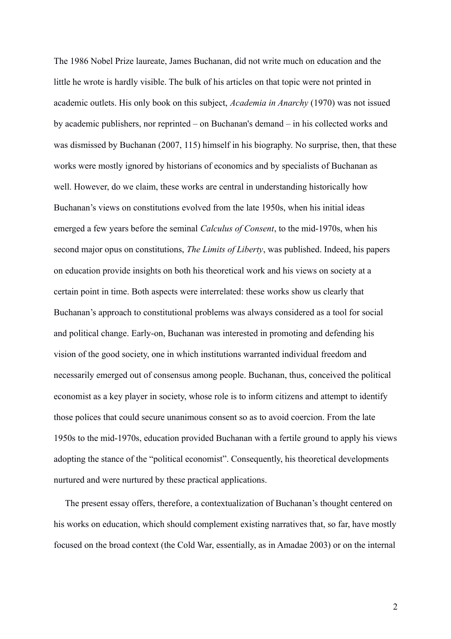The 1986 Nobel Prize laureate, James Buchanan, did not write much on education and the little he wrote is hardly visible. The bulk of his articles on that topic were not printed in academic outlets. His only book on this subject, *Academia in Anarchy* (1970) was not issued by academic publishers, nor reprinted – on Buchanan's demand – in his collected works and was dismissed by Buchanan (2007, 115) himself in his biography. No surprise, then, that these works were mostly ignored by historians of economics and by specialists of Buchanan as well. However, do we claim, these works are central in understanding historically how Buchanan's views on constitutions evolved from the late 1950s, when his initial ideas emerged a few years before the seminal *Calculus of Consent*, to the mid-1970s, when his second major opus on constitutions, *The Limits of Liberty*, was published. Indeed, his papers on education provide insights on both his theoretical work and his views on society at a certain point in time. Both aspects were interrelated: these works show us clearly that Buchanan's approach to constitutional problems was always considered as a tool for social and political change. Early-on, Buchanan was interested in promoting and defending his vision of the good society, one in which institutions warranted individual freedom and necessarily emerged out of consensus among people. Buchanan, thus, conceived the political economist as a key player in society, whose role is to inform citizens and attempt to identify those polices that could secure unanimous consent so as to avoid coercion. From the late 1950s to the mid-1970s, education provided Buchanan with a fertile ground to apply his views adopting the stance of the "political economist". Consequently, his theoretical developments nurtured and were nurtured by these practical applications.

 The present essay offers, therefore, a contextualization of Buchanan's thought centered on his works on education, which should complement existing narratives that, so far, have mostly focused on the broad context (the Cold War, essentially, as in Amadae 2003) or on the internal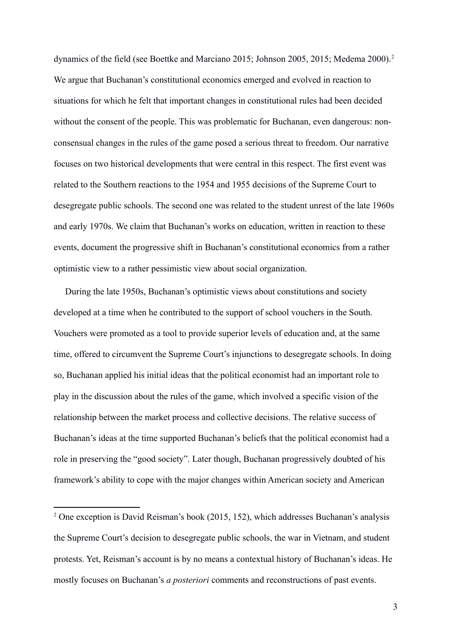dynamics of the field (see Boettke and Marciano [2](#page-3-0)015; Johnson 2005, 2015; Medema 2000).<sup>2</sup> We argue that Buchanan's constitutional economics emerged and evolved in reaction to situations for which he felt that important changes in constitutional rules had been decided without the consent of the people. This was problematic for Buchanan, even dangerous: nonconsensual changes in the rules of the game posed a serious threat to freedom. Our narrative focuses on two historical developments that were central in this respect. The first event was related to the Southern reactions to the 1954 and 1955 decisions of the Supreme Court to desegregate public schools. The second one was related to the student unrest of the late 1960s and early 1970s. We claim that Buchanan's works on education, written in reaction to these events, document the progressive shift in Buchanan's constitutional economics from a rather optimistic view to a rather pessimistic view about social organization.

 During the late 1950s, Buchanan's optimistic views about constitutions and society developed at a time when he contributed to the support of school vouchers in the South. Vouchers were promoted as a tool to provide superior levels of education and, at the same time, offered to circumvent the Supreme Court's injunctions to desegregate schools. In doing so, Buchanan applied his initial ideas that the political economist had an important role to play in the discussion about the rules of the game, which involved a specific vision of the relationship between the market process and collective decisions. The relative success of Buchanan's ideas at the time supported Buchanan's beliefs that the political economist had a role in preserving the "good society". Later though, Buchanan progressively doubted of his framework's ability to cope with the major changes within American society and American

<span id="page-3-0"></span><sup>&</sup>lt;sup>2</sup> One exception is David Reisman's book (2015, 152), which addresses Buchanan's analysis the Supreme Court's decision to desegregate public schools, the war in Vietnam, and student protests. Yet, Reisman's account is by no means a contextual history of Buchanan's ideas. He mostly focuses on Buchanan's *a posteriori* comments and reconstructions of past events.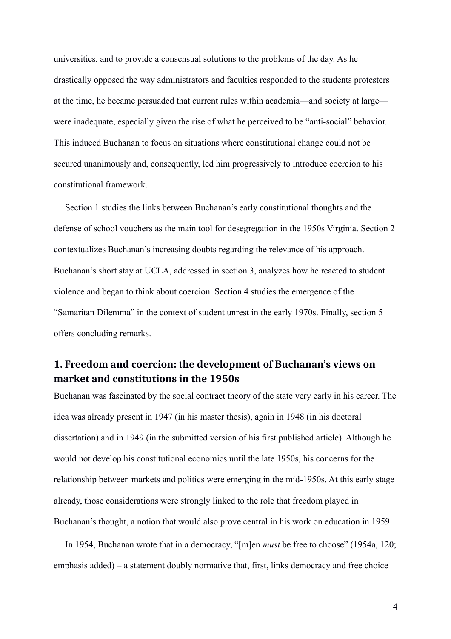universities, and to provide a consensual solutions to the problems of the day. As he drastically opposed the way administrators and faculties responded to the students protesters at the time, he became persuaded that current rules within academia—and society at large were inadequate, especially given the rise of what he perceived to be "anti-social" behavior. This induced Buchanan to focus on situations where constitutional change could not be secured unanimously and, consequently, led him progressively to introduce coercion to his constitutional framework.

 Section 1 studies the links between Buchanan's early constitutional thoughts and the defense of school vouchers as the main tool for desegregation in the 1950s Virginia. Section 2 contextualizes Buchanan's increasing doubts regarding the relevance of his approach. Buchanan's short stay at UCLA, addressed in section 3, analyzes how he reacted to student violence and began to think about coercion. Section 4 studies the emergence of the "Samaritan Dilemma" in the context of student unrest in the early 1970s. Finally, section 5 offers concluding remarks.

# **1. Freedom and coercion: the development of Buchanan's views on market and constitutions in the 1950s**

Buchanan was fascinated by the social contract theory of the state very early in his career. The idea was already present in 1947 (in his master thesis), again in 1948 (in his doctoral dissertation) and in 1949 (in the submitted version of his first published article). Although he would not develop his constitutional economics until the late 1950s, his concerns for the relationship between markets and politics were emerging in the mid-1950s. At this early stage already, those considerations were strongly linked to the role that freedom played in Buchanan's thought, a notion that would also prove central in his work on education in 1959.

 In 1954, Buchanan wrote that in a democracy, "[m]en *must* be free to choose" (1954a, 120; emphasis added) – a statement doubly normative that, first, links democracy and free choice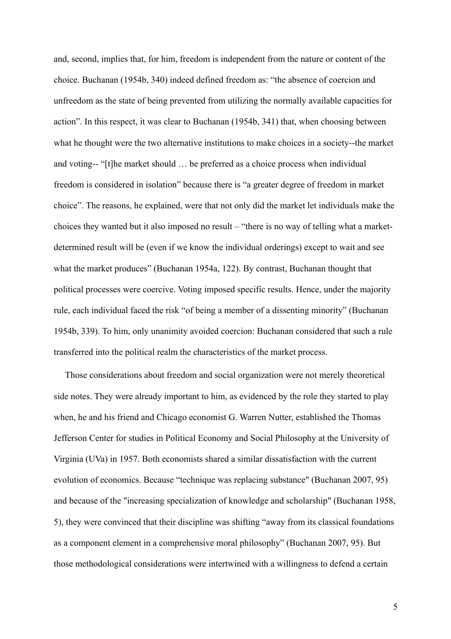and, second, implies that, for him, freedom is independent from the nature or content of the choice. Buchanan (1954b, 340) indeed defined freedom as: "the absence of coercion and unfreedom as the state of being prevented from utilizing the normally available capacities for action". In this respect, it was clear to Buchanan (1954b, 341) that, when choosing between what he thought were the two alternative institutions to make choices in a society--the market and voting-- "[t]he market should … be preferred as a choice process when individual freedom is considered in isolation" because there is "a greater degree of freedom in market choice". The reasons, he explained, were that not only did the market let individuals make the choices they wanted but it also imposed no result – "there is no way of telling what a marketdetermined result will be (even if we know the individual orderings) except to wait and see what the market produces" (Buchanan 1954a, 122). By contrast, Buchanan thought that political processes were coercive. Voting imposed specific results. Hence, under the majority rule, each individual faced the risk "of being a member of a dissenting minority" (Buchanan 1954b, 339). To him, only unanimity avoided coercion: Buchanan considered that such a rule transferred into the political realm the characteristics of the market process.

 Those considerations about freedom and social organization were not merely theoretical side notes. They were already important to him, as evidenced by the role they started to play when, he and his friend and Chicago economist G. Warren Nutter, established the Thomas Jefferson Center for studies in Political Economy and Social Philosophy at the University of Virginia (UVa) in 1957. Both economists shared a similar dissatisfaction with the current evolution of economics. Because "technique was replacing substance" (Buchanan 2007, 95) and because of the "increasing specialization of knowledge and scholarship" (Buchanan 1958, 5), they were convinced that their discipline was shifting "away from its classical foundations as a component element in a comprehensive moral philosophy" (Buchanan 2007, 95). But those methodological considerations were intertwined with a willingness to defend a certain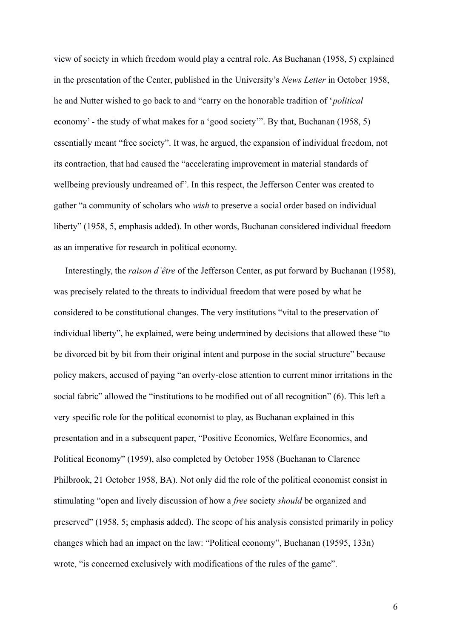view of society in which freedom would play a central role. As Buchanan (1958, 5) explained in the presentation of the Center, published in the University's *News Letter* in October 1958, he and Nutter wished to go back to and "carry on the honorable tradition of '*political*  economy' - the study of what makes for a 'good society'". By that, Buchanan (1958, 5) essentially meant "free society". It was, he argued, the expansion of individual freedom, not its contraction, that had caused the "accelerating improvement in material standards of wellbeing previously undreamed of". In this respect, the Jefferson Center was created to gather "a community of scholars who *wish* to preserve a social order based on individual liberty" (1958, 5, emphasis added). In other words, Buchanan considered individual freedom as an imperative for research in political economy.

 Interestingly, the *raison d'être* of the Jefferson Center, as put forward by Buchanan (1958), was precisely related to the threats to individual freedom that were posed by what he considered to be constitutional changes. The very institutions "vital to the preservation of individual liberty", he explained, were being undermined by decisions that allowed these "to be divorced bit by bit from their original intent and purpose in the social structure" because policy makers, accused of paying "an overly-close attention to current minor irritations in the social fabric" allowed the "institutions to be modified out of all recognition" (6). This left a very specific role for the political economist to play, as Buchanan explained in this presentation and in a subsequent paper, "Positive Economics, Welfare Economics, and Political Economy" (1959), also completed by October 1958 (Buchanan to Clarence Philbrook, 21 October 1958, BA). Not only did the role of the political economist consist in stimulating "open and lively discussion of how a *free* society *should* be organized and preserved" (1958, 5; emphasis added). The scope of his analysis consisted primarily in policy changes which had an impact on the law: "Political economy", Buchanan (19595, 133n) wrote, "is concerned exclusively with modifications of the rules of the game".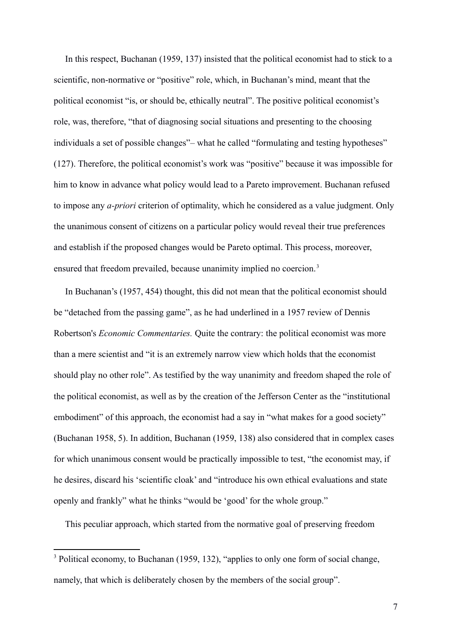In this respect, Buchanan (1959, 137) insisted that the political economist had to stick to a scientific, non-normative or "positive" role, which, in Buchanan's mind, meant that the political economist "is, or should be, ethically neutral". The positive political economist's role, was, therefore, "that of diagnosing social situations and presenting to the choosing individuals a set of possible changes"– what he called "formulating and testing hypotheses" (127). Therefore, the political economist's work was "positive" because it was impossible for him to know in advance what policy would lead to a Pareto improvement. Buchanan refused to impose any *a-priori* criterion of optimality, which he considered as a value judgment. Only the unanimous consent of citizens on a particular policy would reveal their true preferences and establish if the proposed changes would be Pareto optimal. This process, moreover, ensured that freedom prevailed, because unanimity implied no coercion.<sup>[3](#page-7-0)</sup>

 In Buchanan's (1957, 454) thought, this did not mean that the political economist should be "detached from the passing game", as he had underlined in a 1957 review of Dennis Robertson's *Economic Commentaries.* Quite the contrary: the political economist was more than a mere scientist and "it is an extremely narrow view which holds that the economist should play no other role". As testified by the way unanimity and freedom shaped the role of the political economist, as well as by the creation of the Jefferson Center as the "institutional embodiment" of this approach, the economist had a say in "what makes for a good society" (Buchanan 1958, 5). In addition, Buchanan (1959, 138) also considered that in complex cases for which unanimous consent would be practically impossible to test, "the economist may, if he desires, discard his 'scientific cloak' and "introduce his own ethical evaluations and state openly and frankly" what he thinks "would be 'good' for the whole group."

This peculiar approach, which started from the normative goal of preserving freedom

<span id="page-7-0"></span><sup>&</sup>lt;sup>3</sup>Political economy, to Buchanan (1959, 132), "applies to only one form of social change, namely, that which is deliberately chosen by the members of the social group".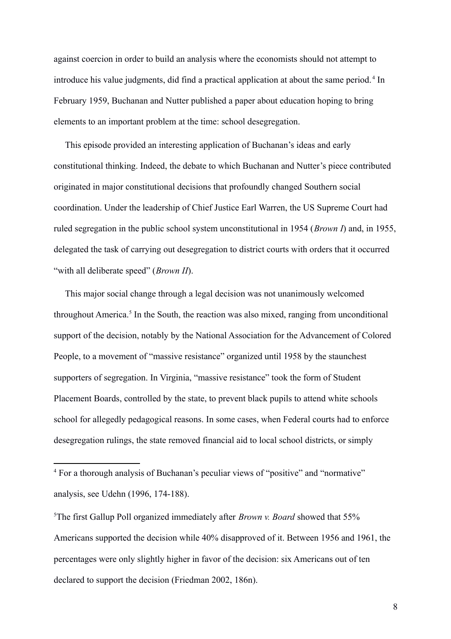against coercion in order to build an analysis where the economists should not attempt to introduce his value judgments, did find a practical application at about the same period.<sup>[4](#page-8-0)</sup> In February 1959, Buchanan and Nutter published a paper about education hoping to bring elements to an important problem at the time: school desegregation.

 This episode provided an interesting application of Buchanan's ideas and early constitutional thinking. Indeed, the debate to which Buchanan and Nutter's piece contributed originated in major constitutional decisions that profoundly changed Southern social coordination. Under the leadership of Chief Justice Earl Warren, the US Supreme Court had ruled segregation in the public school system unconstitutional in 1954 (*Brown I*) and, in 1955, delegated the task of carrying out desegregation to district courts with orders that it occurred "with all deliberate speed" (*Brown II*).

 This major social change through a legal decision was not unanimously welcomed throughout America.<sup>[5](#page-8-1)</sup> In the South, the reaction was also mixed, ranging from unconditional support of the decision, notably by the National Association for the Advancement of Colored People, to a movement of "massive resistance" organized until 1958 by the staunchest supporters of segregation. In Virginia, "massive resistance" took the form of Student Placement Boards, controlled by the state, to prevent black pupils to attend white schools school for allegedly pedagogical reasons. In some cases, when Federal courts had to enforce desegregation rulings, the state removed financial aid to local school districts, or simply

<span id="page-8-0"></span><sup>&</sup>lt;sup>4</sup> For a thorough analysis of Buchanan's peculiar views of "positive" and "normative" analysis, see Udehn (1996, 174-188).

<span id="page-8-1"></span><sup>&</sup>lt;sup>5</sup>The first Gallup Poll organized immediately after *Brown v. Board* showed that 55% Americans supported the decision while 40% disapproved of it. Between 1956 and 1961, the percentages were only slightly higher in favor of the decision: six Americans out of ten declared to support the decision (Friedman 2002, 186n).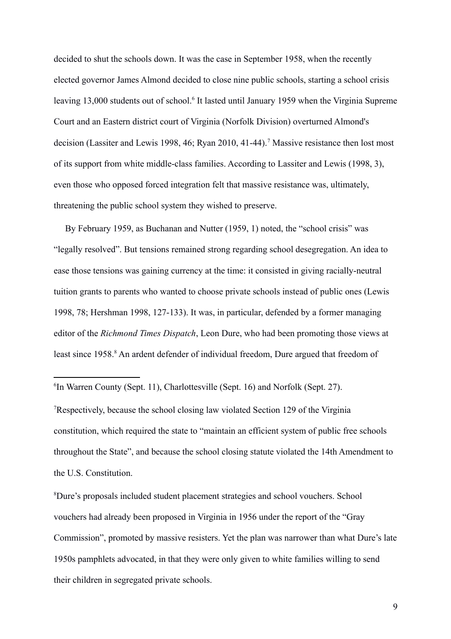decided to shut the schools down. It was the case in September 1958, when the recently elected governor James Almond decided to close nine public schools, starting a school crisis leaving 13,000 students out of school.<sup>[6](#page-9-0)</sup> It lasted until January 1959 when the Virginia Supreme Court and an Eastern district court of Virginia (Norfolk Division) overturned Almond's decision (Lassiter and Lewis 1998, 46; Ryan 2010, 41-44).<sup>[7](#page-9-1)</sup> Massive resistance then lost most of its support from white middle-class families. According to Lassiter and Lewis (1998, 3), even those who opposed forced integration felt that massive resistance was, ultimately, threatening the public school system they wished to preserve.

 By February 1959, as Buchanan and Nutter (1959, 1) noted, the "school crisis" was "legally resolved". But tensions remained strong regarding school desegregation. An idea to ease those tensions was gaining currency at the time: it consisted in giving racially-neutral tuition grants to parents who wanted to choose private schools instead of public ones (Lewis 1998, 78; Hershman 1998, 127-133). It was, in particular, defended by a former managing editor of the *Richmond Times Dispatch*, Leon Dure, who had been promoting those views at least since 195[8](#page-9-2).<sup>8</sup> An ardent defender of individual freedom, Dure argued that freedom of

<span id="page-9-0"></span><sup>6</sup>In Warren County (Sept. 11), Charlottesville (Sept. 16) and Norfolk (Sept. 27).

<span id="page-9-1"></span><sup>7</sup>Respectively, because the school closing law violated Section 129 of the Virginia constitution, which required the state to "maintain an efficient system of public free schools throughout the State", and because the school closing statute violated the 14th Amendment to the U.S. Constitution.

<span id="page-9-2"></span><sup>8</sup>Dure's proposals included student placement strategies and school vouchers. School vouchers had already been proposed in Virginia in 1956 under the report of the "Gray Commission", promoted by massive resisters. Yet the plan was narrower than what Dure's late 1950s pamphlets advocated, in that they were only given to white families willing to send their children in segregated private schools.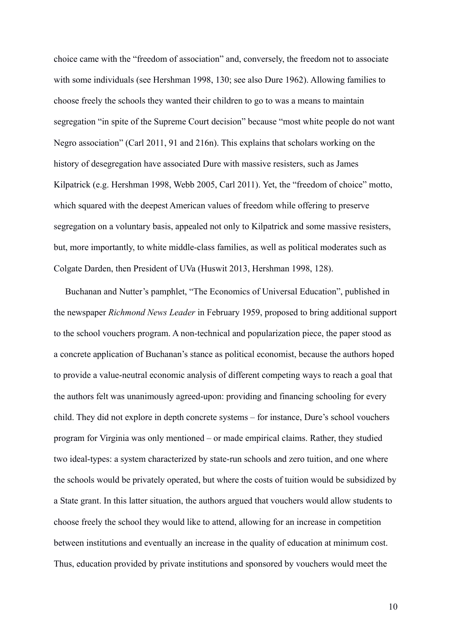choice came with the "freedom of association" and, conversely, the freedom not to associate with some individuals (see Hershman 1998, 130; see also Dure 1962). Allowing families to choose freely the schools they wanted their children to go to was a means to maintain segregation "in spite of the Supreme Court decision" because "most white people do not want Negro association" (Carl 2011, 91 and 216n). This explains that scholars working on the history of desegregation have associated Dure with massive resisters, such as James Kilpatrick (e.g. Hershman 1998, Webb 2005, Carl 2011). Yet, the "freedom of choice" motto, which squared with the deepest American values of freedom while offering to preserve segregation on a voluntary basis, appealed not only to Kilpatrick and some massive resisters, but, more importantly, to white middle-class families, as well as political moderates such as Colgate Darden, then President of UVa (Huswit 2013, Hershman 1998, 128).

 Buchanan and Nutter's pamphlet, "The Economics of Universal Education", published in the newspaper *Richmond News Leader* in February 1959, proposed to bring additional support to the school vouchers program. A non-technical and popularization piece, the paper stood as a concrete application of Buchanan's stance as political economist, because the authors hoped to provide a value-neutral economic analysis of different competing ways to reach a goal that the authors felt was unanimously agreed-upon: providing and financing schooling for every child. They did not explore in depth concrete systems – for instance, Dure's school vouchers program for Virginia was only mentioned – or made empirical claims. Rather, they studied two ideal-types: a system characterized by state-run schools and zero tuition, and one where the schools would be privately operated, but where the costs of tuition would be subsidized by a State grant. In this latter situation, the authors argued that vouchers would allow students to choose freely the school they would like to attend, allowing for an increase in competition between institutions and eventually an increase in the quality of education at minimum cost. Thus, education provided by private institutions and sponsored by vouchers would meet the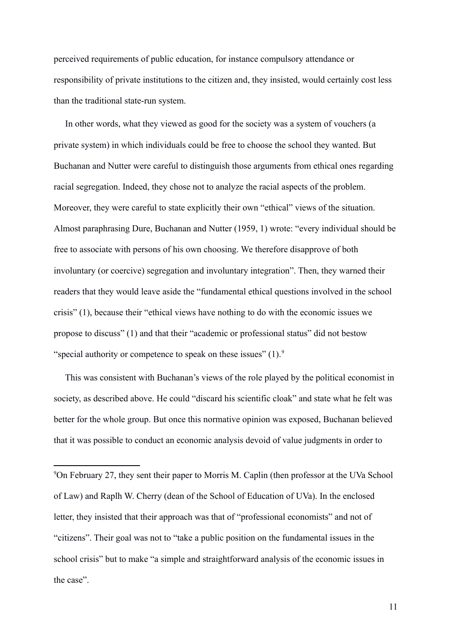perceived requirements of public education, for instance compulsory attendance or responsibility of private institutions to the citizen and, they insisted, would certainly cost less than the traditional state-run system.

 In other words, what they viewed as good for the society was a system of vouchers (a private system) in which individuals could be free to choose the school they wanted. But Buchanan and Nutter were careful to distinguish those arguments from ethical ones regarding racial segregation. Indeed, they chose not to analyze the racial aspects of the problem. Moreover, they were careful to state explicitly their own "ethical" views of the situation. Almost paraphrasing Dure, Buchanan and Nutter (1959, 1) wrote: "every individual should be free to associate with persons of his own choosing. We therefore disapprove of both involuntary (or coercive) segregation and involuntary integration". Then, they warned their readers that they would leave aside the "fundamental ethical questions involved in the school crisis" (1), because their "ethical views have nothing to do with the economic issues we propose to discuss" (1) and that their "academic or professional status" did not bestow "special authority or competence to speak on these issues"  $(1)$ .

 This was consistent with Buchanan's views of the role played by the political economist in society, as described above. He could "discard his scientific cloak" and state what he felt was better for the whole group. But once this normative opinion was exposed, Buchanan believed that it was possible to conduct an economic analysis devoid of value judgments in order to

<span id="page-11-0"></span><sup>9</sup> On February 27, they sent their paper to Morris M. Caplin (then professor at the UVa School of Law) and Raplh W. Cherry (dean of the School of Education of UVa). In the enclosed letter, they insisted that their approach was that of "professional economists" and not of "citizens". Their goal was not to "take a public position on the fundamental issues in the school crisis" but to make "a simple and straightforward analysis of the economic issues in the case".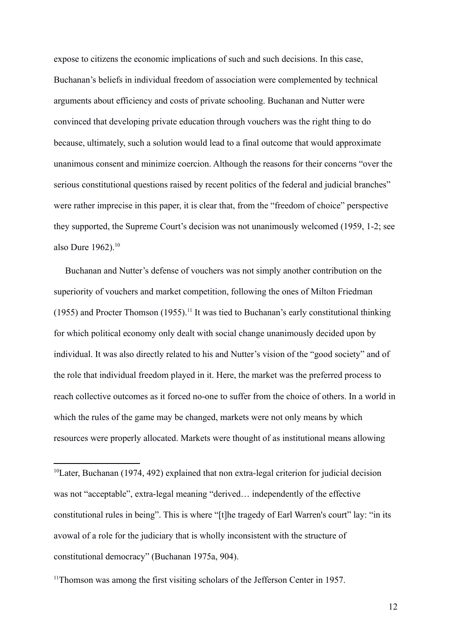expose to citizens the economic implications of such and such decisions. In this case, Buchanan's beliefs in individual freedom of association were complemented by technical arguments about efficiency and costs of private schooling. Buchanan and Nutter were convinced that developing private education through vouchers was the right thing to do because, ultimately, such a solution would lead to a final outcome that would approximate unanimous consent and minimize coercion. Although the reasons for their concerns "over the serious constitutional questions raised by recent politics of the federal and judicial branches" were rather imprecise in this paper, it is clear that, from the "freedom of choice" perspective they supported, the Supreme Court's decision was not unanimously welcomed (1959, 1-2; see also Dure  $1962$ ).<sup>[10](#page-12-0)</sup>

 Buchanan and Nutter's defense of vouchers was not simply another contribution on the superiority of vouchers and market competition, following the ones of Milton Friedman (1955) and Procter Thomson (1955).<sup>[11](#page-12-1)</sup> It was tied to Buchanan's early constitutional thinking for which political economy only dealt with social change unanimously decided upon by individual. It was also directly related to his and Nutter's vision of the "good society" and of the role that individual freedom played in it. Here, the market was the preferred process to reach collective outcomes as it forced no-one to suffer from the choice of others. In a world in which the rules of the game may be changed, markets were not only means by which resources were properly allocated. Markets were thought of as institutional means allowing

<span id="page-12-0"></span><sup>&</sup>lt;sup>10</sup>Later, Buchanan (1974, 492) explained that non extra-legal criterion for judicial decision was not "acceptable", extra-legal meaning "derived… independently of the effective constitutional rules in being". This is where "[t]he tragedy of Earl Warren's court" lay: "in its avowal of a role for the judiciary that is wholly inconsistent with the structure of constitutional democracy" (Buchanan 1975a, 904).

<span id="page-12-1"></span><sup>&</sup>lt;sup>11</sup>Thomson was among the first visiting scholars of the Jefferson Center in 1957.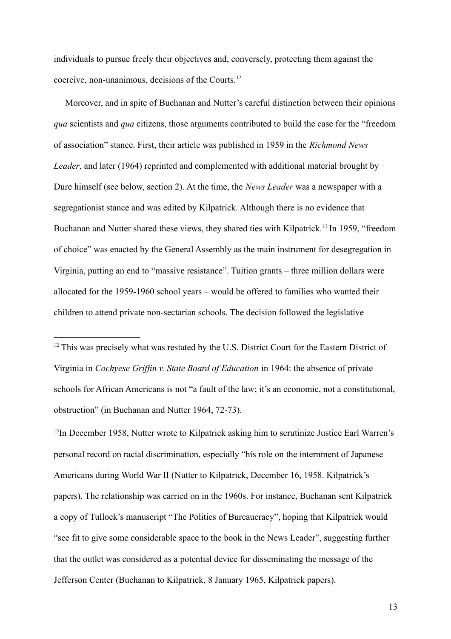individuals to pursue freely their objectives and, conversely, protecting them against the coercive, non-unanimous, decisions of the Courts.[12](#page-13-0)

 Moreover, and in spite of Buchanan and Nutter's careful distinction between their opinions *qua* scientists and *qua* citizens, those arguments contributed to build the case for the "freedom of association" stance. First, their article was published in 1959 in the *Richmond News Leader*, and later (1964) reprinted and complemented with additional material brought by Dure himself (see below, section 2). At the time, the *News Leader* was a newspaper with a segregationist stance and was edited by Kilpatrick. Although there is no evidence that Buchanan and Nutter shared these views, they shared ties with Kilpatrick.<sup>[13](#page-13-1)</sup> In 1959, "freedom of choice" was enacted by the General Assembly as the main instrument for desegregation in Virginia, putting an end to "massive resistance". Tuition grants – three million dollars were allocated for the 1959-1960 school years – would be offered to families who wanted their children to attend private non-sectarian schools. The decision followed the legislative

<span id="page-13-1"></span><sup>13</sup>In December 1958, Nutter wrote to Kilpatrick asking him to scrutinize Justice Earl Warren's personal record on racial discrimination, especially "his role on the internment of Japanese Americans during World War II (Nutter to Kilpatrick, December 16, 1958. Kilpatrick's papers). The relationship was carried on in the 1960s. For instance, Buchanan sent Kilpatrick a copy of Tullock's manuscript "The Politics of Bureaucracy", hoping that Kilpatrick would "see fit to give some considerable space to the book in the News Leader", suggesting further that the outlet was considered as a potential device for disseminating the message of the Jefferson Center (Buchanan to Kilpatrick, 8 January 1965, Kilpatrick papers).

<span id="page-13-0"></span> $12\text{°}$ This was precisely what was restated by the U.S. District Court for the Eastern District of Virginia in *Cochyese Griffin v. State Board of Education* in 1964: the absence of private schools for African Americans is not "a fault of the law; it's an economic, not a constitutional, obstruction" (in Buchanan and Nutter 1964, 72-73).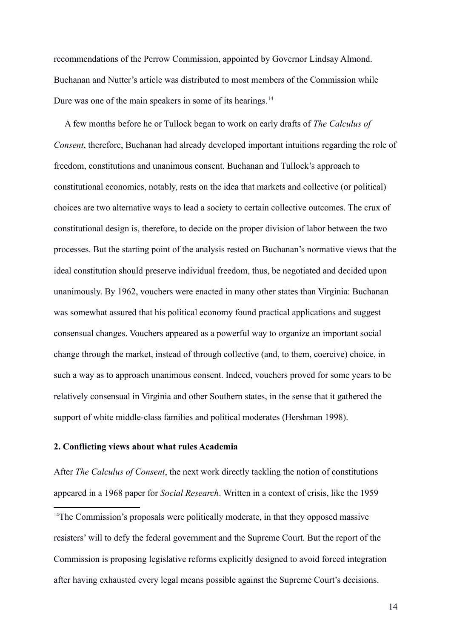recommendations of the Perrow Commission, appointed by Governor Lindsay Almond. Buchanan and Nutter's article was distributed to most members of the Commission while Dure was one of the main speakers in some of its hearings.<sup>[14](#page-14-0)</sup>

 A few months before he or Tullock began to work on early drafts of *The Calculus of Consent*, therefore, Buchanan had already developed important intuitions regarding the role of freedom, constitutions and unanimous consent. Buchanan and Tullock's approach to constitutional economics, notably, rests on the idea that markets and collective (or political) choices are two alternative ways to lead a society to certain collective outcomes. The crux of constitutional design is, therefore, to decide on the proper division of labor between the two processes. But the starting point of the analysis rested on Buchanan's normative views that the ideal constitution should preserve individual freedom, thus, be negotiated and decided upon unanimously. By 1962, vouchers were enacted in many other states than Virginia: Buchanan was somewhat assured that his political economy found practical applications and suggest consensual changes. Vouchers appeared as a powerful way to organize an important social change through the market, instead of through collective (and, to them, coercive) choice, in such a way as to approach unanimous consent. Indeed, vouchers proved for some years to be relatively consensual in Virginia and other Southern states, in the sense that it gathered the support of white middle-class families and political moderates (Hershman 1998).

## **2. Conflicting views about what rules Academia**

After *The Calculus of Consent*, the next work directly tackling the notion of constitutions appeared in a 1968 paper for *Social Research*. Written in a context of crisis, like the 1959

<span id="page-14-0"></span><sup>14</sup>The Commission's proposals were politically moderate, in that they opposed massive resisters' will to defy the federal government and the Supreme Court. But the report of the Commission is proposing legislative reforms explicitly designed to avoid forced integration after having exhausted every legal means possible against the Supreme Court's decisions.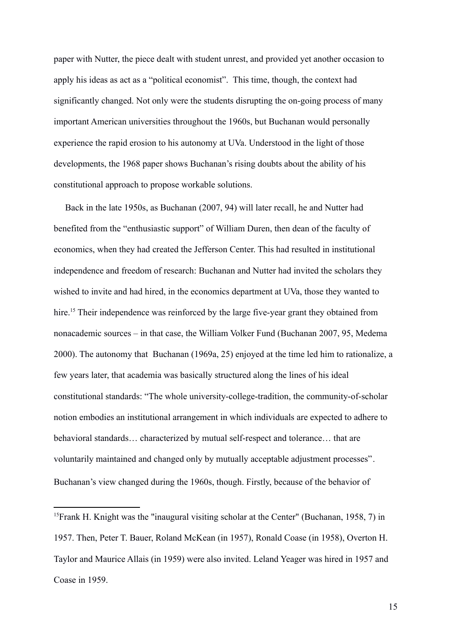paper with Nutter, the piece dealt with student unrest, and provided yet another occasion to apply his ideas as act as a "political economist". This time, though, the context had significantly changed. Not only were the students disrupting the on-going process of many important American universities throughout the 1960s, but Buchanan would personally experience the rapid erosion to his autonomy at UVa. Understood in the light of those developments, the 1968 paper shows Buchanan's rising doubts about the ability of his constitutional approach to propose workable solutions.

 Back in the late 1950s, as Buchanan (2007, 94) will later recall, he and Nutter had benefited from the "enthusiastic support" of William Duren, then dean of the faculty of economics, when they had created the Jefferson Center. This had resulted in institutional independence and freedom of research: Buchanan and Nutter had invited the scholars they wished to invite and had hired, in the economics department at UVa, those they wanted to hire.<sup>[15](#page-15-0)</sup> Their independence was reinforced by the large five-year grant they obtained from nonacademic sources – in that case, the William Volker Fund (Buchanan 2007, 95, Medema 2000). The autonomy that Buchanan (1969a, 25) enjoyed at the time led him to rationalize, a few years later, that academia was basically structured along the lines of his ideal constitutional standards: "The whole university-college-tradition, the community-of-scholar notion embodies an institutional arrangement in which individuals are expected to adhere to behavioral standards… characterized by mutual self-respect and tolerance… that are voluntarily maintained and changed only by mutually acceptable adjustment processes". Buchanan's view changed during the 1960s, though. Firstly, because of the behavior of

<span id="page-15-0"></span><sup>&</sup>lt;sup>15</sup> Frank H. Knight was the "inaugural visiting scholar at the Center" (Buchanan, 1958, 7) in 1957. Then, Peter T. Bauer, Roland McKean (in 1957), Ronald Coase (in 1958), Overton H. Taylor and Maurice Allais (in 1959) were also invited. Leland Yeager was hired in 1957 and Coase in 1959.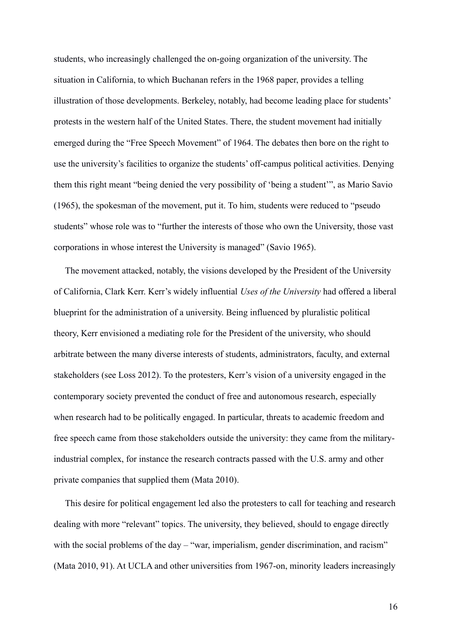students, who increasingly challenged the on-going organization of the university. The situation in California, to which Buchanan refers in the 1968 paper, provides a telling illustration of those developments. Berkeley, notably, had become leading place for students' protests in the western half of the United States. There, the student movement had initially emerged during the "Free Speech Movement" of 1964. The debates then bore on the right to use the university's facilities to organize the students' off-campus political activities. Denying them this right meant "being denied the very possibility of 'being a student'", as Mario Savio (1965), the spokesman of the movement, put it. To him, students were reduced to "pseudo students" whose role was to "further the interests of those who own the University, those vast corporations in whose interest the University is managed" (Savio 1965).

 The movement attacked, notably, the visions developed by the President of the University of California, Clark Kerr. Kerr's widely influential *Uses of the University* had offered a liberal blueprint for the administration of a university. Being influenced by pluralistic political theory, Kerr envisioned a mediating role for the President of the university, who should arbitrate between the many diverse interests of students, administrators, faculty, and external stakeholders (see Loss 2012). To the protesters, Kerr's vision of a university engaged in the contemporary society prevented the conduct of free and autonomous research, especially when research had to be politically engaged. In particular, threats to academic freedom and free speech came from those stakeholders outside the university: they came from the militaryindustrial complex, for instance the research contracts passed with the U.S. army and other private companies that supplied them (Mata 2010).

 This desire for political engagement led also the protesters to call for teaching and research dealing with more "relevant" topics. The university, they believed, should to engage directly with the social problems of the day – "war, imperialism, gender discrimination, and racism" (Mata 2010, 91). At UCLA and other universities from 1967-on, minority leaders increasingly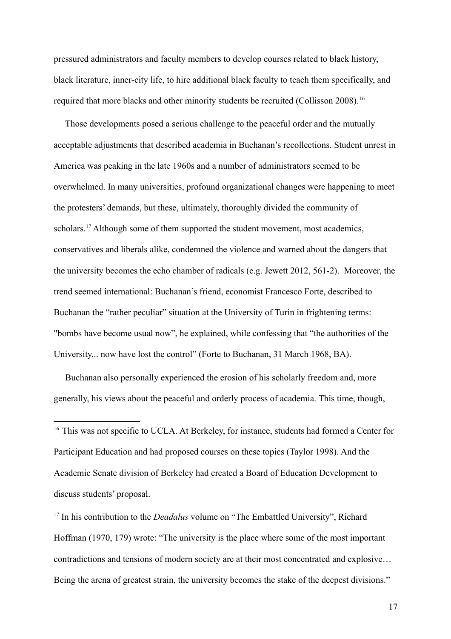pressured administrators and faculty members to develop courses related to black history, black literature, inner-city life, to hire additional black faculty to teach them specifically, and required that more blacks and other minority students be recruited (Collisson 2008).<sup>[16](#page-17-0)</sup>

 Those developments posed a serious challenge to the peaceful order and the mutually acceptable adjustments that described academia in Buchanan's recollections. Student unrest in America was peaking in the late 1960s and a number of administrators seemed to be overwhelmed. In many universities, profound organizational changes were happening to meet the protesters' demands, but these, ultimately, thoroughly divided the community of scholars.<sup>[17](#page-17-1)</sup> Although some of them supported the student movement, most academics, conservatives and liberals alike, condemned the violence and warned about the dangers that the university becomes the echo chamber of radicals (e.g. Jewett 2012, 561-2). Moreover, the trend seemed international: Buchanan's friend, economist Francesco Forte, described to Buchanan the "rather peculiar" situation at the University of Turin in frightening terms: "bombs have become usual now", he explained, while confessing that "the authorities of the University... now have lost the control" (Forte to Buchanan, 31 March 1968, BA).

 Buchanan also personally experienced the erosion of his scholarly freedom and, more generally, his views about the peaceful and orderly process of academia. This time, though,

<span id="page-17-0"></span><sup>16T</sup>This was not specific to UCLA. At Berkeley, for instance, students had formed a Center for Participant Education and had proposed courses on these topics (Taylor 1998). And the Academic Senate division of Berkeley had created a Board of Education Development to discuss students' proposal.

<span id="page-17-1"></span><sup>17</sup>In his contribution to the *Deadalus* volume on "The Embattled University", Richard Hoffman (1970, 179) wrote: "The university is the place where some of the most important contradictions and tensions of modern society are at their most concentrated and explosive… Being the arena of greatest strain, the university becomes the stake of the deepest divisions."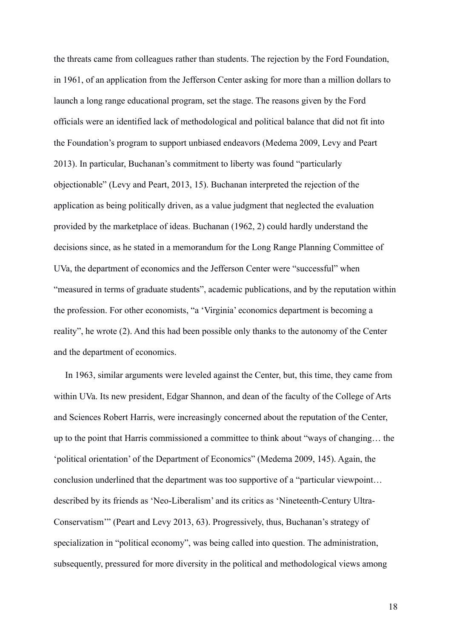the threats came from colleagues rather than students. The rejection by the Ford Foundation, in 1961, of an application from the Jefferson Center asking for more than a million dollars to launch a long range educational program, set the stage. The reasons given by the Ford officials were an identified lack of methodological and political balance that did not fit into the Foundation's program to support unbiased endeavors (Medema 2009, Levy and Peart 2013). In particular, Buchanan's commitment to liberty was found "particularly objectionable" (Levy and Peart, 2013, 15). Buchanan interpreted the rejection of the application as being politically driven, as a value judgment that neglected the evaluation provided by the marketplace of ideas. Buchanan (1962, 2) could hardly understand the decisions since, as he stated in a memorandum for the Long Range Planning Committee of UVa, the department of economics and the Jefferson Center were "successful" when "measured in terms of graduate students", academic publications, and by the reputation within the profession. For other economists, "a 'Virginia' economics department is becoming a reality", he wrote (2). And this had been possible only thanks to the autonomy of the Center and the department of economics.

 In 1963, similar arguments were leveled against the Center, but, this time, they came from within UVa. Its new president, Edgar Shannon, and dean of the faculty of the College of Arts and Sciences Robert Harris, were increasingly concerned about the reputation of the Center, up to the point that Harris commissioned a committee to think about "ways of changing… the 'political orientation' of the Department of Economics" (Medema 2009, 145). Again, the conclusion underlined that the department was too supportive of a "particular viewpoint… described by its friends as 'Neo-Liberalism' and its critics as 'Nineteenth-Century Ultra-Conservatism'" (Peart and Levy 2013, 63). Progressively, thus, Buchanan's strategy of specialization in "political economy", was being called into question. The administration, subsequently, pressured for more diversity in the political and methodological views among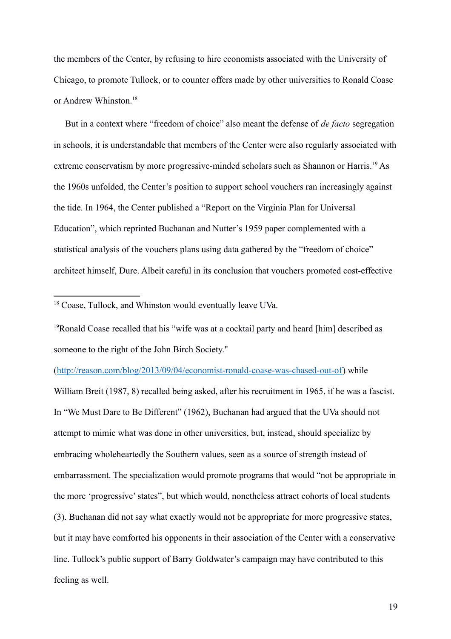the members of the Center, by refusing to hire economists associated with the University of Chicago, to promote Tullock, or to counter offers made by other universities to Ronald Coase or Andrew Whinston<sup>[18](#page-19-0)</sup>

 But in a context where "freedom of choice" also meant the defense of *de facto* segregation in schools, it is understandable that members of the Center were also regularly associated with extreme conservatism by more progressive-minded scholars such as Shannon or Harris.<sup>[19](#page-19-1)</sup> As the 1960s unfolded, the Center's position to support school vouchers ran increasingly against the tide. In 1964, the Center published a "Report on the Virginia Plan for Universal Education", which reprinted Buchanan and Nutter's 1959 paper complemented with a statistical analysis of the vouchers plans using data gathered by the "freedom of choice" architect himself, Dure. Albeit careful in its conclusion that vouchers promoted cost-effective

<span id="page-19-1"></span><sup>19</sup>Ronald Coase recalled that his "wife was at a cocktail party and heard [him] described as someone to the right of the John Birch Society."

[\(http://reason.com/blog/2013/09/04/economist-ronald-coase-was-chased-out-of\)](http://reason.com/blog/2013/09/04/economist-ronald-coase-was-chased-out-of) while

William Breit (1987, 8) recalled being asked, after his recruitment in 1965, if he was a fascist. In "We Must Dare to Be Different" (1962), Buchanan had argued that the UVa should not attempt to mimic what was done in other universities, but, instead, should specialize by embracing wholeheartedly the Southern values, seen as a source of strength instead of embarrassment. The specialization would promote programs that would "not be appropriate in the more 'progressive' states", but which would, nonetheless attract cohorts of local students (3). Buchanan did not say what exactly would not be appropriate for more progressive states, but it may have comforted his opponents in their association of the Center with a conservative line. Tullock's public support of Barry Goldwater's campaign may have contributed to this feeling as well.

<span id="page-19-0"></span><sup>18&</sup>lt;sup>T</sup>Coase, Tullock, and Whinston would eventually leave UVa.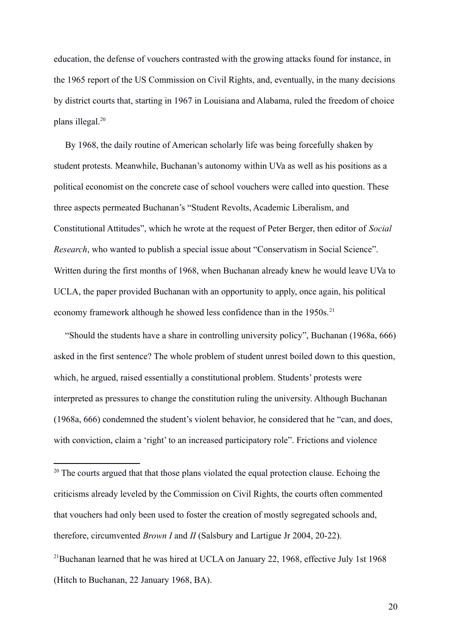education, the defense of vouchers contrasted with the growing attacks found for instance, in the 1965 report of the US Commission on Civil Rights, and, eventually, in the many decisions by district courts that, starting in 1967 in Louisiana and Alabama, ruled the freedom of choice plans illegal.[20](#page-20-0)

 By 1968, the daily routine of American scholarly life was being forcefully shaken by student protests. Meanwhile, Buchanan's autonomy within UVa as well as his positions as a political economist on the concrete case of school vouchers were called into question. These three aspects permeated Buchanan's "Student Revolts, Academic Liberalism, and Constitutional Attitudes", which he wrote at the request of Peter Berger, then editor of *Social Research*, who wanted to publish a special issue about "Conservatism in Social Science". Written during the first months of 1968, when Buchanan already knew he would leave UVa to UCLA, the paper provided Buchanan with an opportunity to apply, once again, his political economy framework although he showed less confidence than in the 1950s.<sup>[21](#page-20-1)</sup>

 "Should the students have a share in controlling university policy", Buchanan (1968a, 666) asked in the first sentence? The whole problem of student unrest boiled down to this question, which, he argued, raised essentially a constitutional problem. Students' protests were interpreted as pressures to change the constitution ruling the university. Although Buchanan (1968a, 666) condemned the student's violent behavior, he considered that he "can, and does, with conviction, claim a 'right' to an increased participatory role". Frictions and violence

<span id="page-20-1"></span><span id="page-20-0"></span><sup>&</sup>lt;sup>201</sup>The courts argued that that those plans violated the equal protection clause. Echoing the criticisms already leveled by the Commission on Civil Rights, the courts often commented that vouchers had only been used to foster the creation of mostly segregated schools and, therefore, circumvented *Brown I* and *II* (Salsbury and Lartigue Jr 2004, 20-22). <sup>21</sup> Buchanan learned that he was hired at UCLA on January 22, 1968, effective July 1st 1968 (Hitch to Buchanan, 22 January 1968, BA).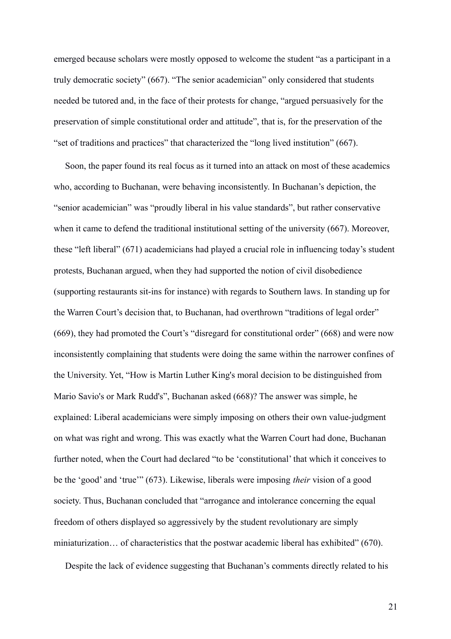emerged because scholars were mostly opposed to welcome the student "as a participant in a truly democratic society" (667). "The senior academician" only considered that students needed be tutored and, in the face of their protests for change, "argued persuasively for the preservation of simple constitutional order and attitude", that is, for the preservation of the "set of traditions and practices" that characterized the "long lived institution" (667).

 Soon, the paper found its real focus as it turned into an attack on most of these academics who, according to Buchanan, were behaving inconsistently. In Buchanan's depiction, the "senior academician" was "proudly liberal in his value standards", but rather conservative when it came to defend the traditional institutional setting of the university (667). Moreover, these "left liberal" (671) academicians had played a crucial role in influencing today's student protests, Buchanan argued, when they had supported the notion of civil disobedience (supporting restaurants sit-ins for instance) with regards to Southern laws. In standing up for the Warren Court's decision that, to Buchanan, had overthrown "traditions of legal order" (669), they had promoted the Court's "disregard for constitutional order" (668) and were now inconsistently complaining that students were doing the same within the narrower confines of the University. Yet, "How is Martin Luther King's moral decision to be distinguished from Mario Savio's or Mark Rudd's", Buchanan asked (668)? The answer was simple, he explained: Liberal academicians were simply imposing on others their own value-judgment on what was right and wrong. This was exactly what the Warren Court had done, Buchanan further noted, when the Court had declared "to be 'constitutional' that which it conceives to be the 'good' and 'true'" (673). Likewise, liberals were imposing *their* vision of a good society. Thus, Buchanan concluded that "arrogance and intolerance concerning the equal freedom of others displayed so aggressively by the student revolutionary are simply miniaturization… of characteristics that the postwar academic liberal has exhibited" (670).

Despite the lack of evidence suggesting that Buchanan's comments directly related to his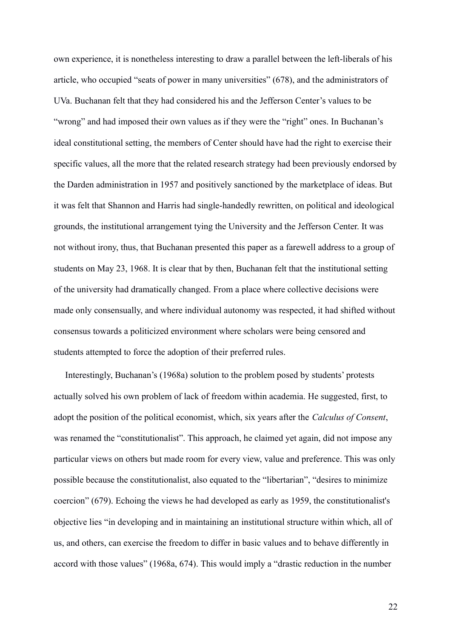own experience, it is nonetheless interesting to draw a parallel between the left-liberals of his article, who occupied "seats of power in many universities" (678), and the administrators of UVa. Buchanan felt that they had considered his and the Jefferson Center's values to be "wrong" and had imposed their own values as if they were the "right" ones. In Buchanan's ideal constitutional setting, the members of Center should have had the right to exercise their specific values, all the more that the related research strategy had been previously endorsed by the Darden administration in 1957 and positively sanctioned by the marketplace of ideas. But it was felt that Shannon and Harris had single-handedly rewritten, on political and ideological grounds, the institutional arrangement tying the University and the Jefferson Center. It was not without irony, thus, that Buchanan presented this paper as a farewell address to a group of students on May 23, 1968. It is clear that by then, Buchanan felt that the institutional setting of the university had dramatically changed. From a place where collective decisions were made only consensually, and where individual autonomy was respected, it had shifted without consensus towards a politicized environment where scholars were being censored and students attempted to force the adoption of their preferred rules.

 Interestingly, Buchanan's (1968a) solution to the problem posed by students' protests actually solved his own problem of lack of freedom within academia. He suggested, first, to adopt the position of the political economist, which, six years after the *Calculus of Consent*, was renamed the "constitutionalist". This approach, he claimed yet again, did not impose any particular views on others but made room for every view, value and preference. This was only possible because the constitutionalist, also equated to the "libertarian", "desires to minimize coercion" (679). Echoing the views he had developed as early as 1959, the constitutionalist's objective lies "in developing and in maintaining an institutional structure within which, all of us, and others, can exercise the freedom to differ in basic values and to behave differently in accord with those values" (1968a, 674). This would imply a "drastic reduction in the number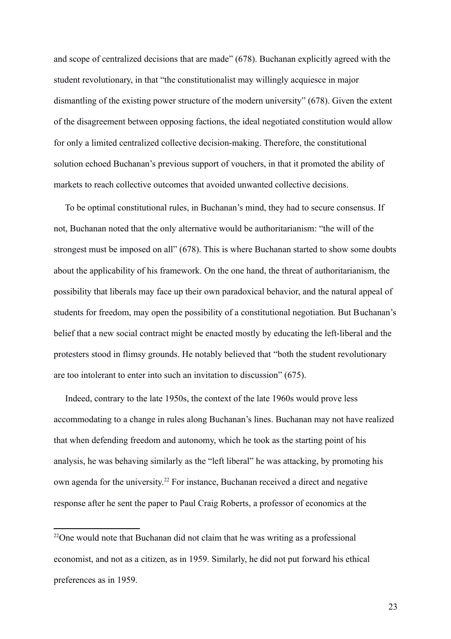and scope of centralized decisions that are made" (678). Buchanan explicitly agreed with the student revolutionary, in that "the constitutionalist may willingly acquiesce in major dismantling of the existing power structure of the modern university" (678). Given the extent of the disagreement between opposing factions, the ideal negotiated constitution would allow for only a limited centralized collective decision-making. Therefore, the constitutional solution echoed Buchanan's previous support of vouchers, in that it promoted the ability of markets to reach collective outcomes that avoided unwanted collective decisions.

 To be optimal constitutional rules, in Buchanan's mind, they had to secure consensus. If not, Buchanan noted that the only alternative would be authoritarianism: "the will of the strongest must be imposed on all" (678). This is where Buchanan started to show some doubts about the applicability of his framework. On the one hand, the threat of authoritarianism, the possibility that liberals may face up their own paradoxical behavior, and the natural appeal of students for freedom, may open the possibility of a constitutional negotiation. But Buchanan's belief that a new social contract might be enacted mostly by educating the left-liberal and the protesters stood in flimsy grounds. He notably believed that "both the student revolutionary are too intolerant to enter into such an invitation to discussion" (675).

 Indeed, contrary to the late 1950s, the context of the late 1960s would prove less accommodating to a change in rules along Buchanan's lines. Buchanan may not have realized that when defending freedom and autonomy, which he took as the starting point of his analysis, he was behaving similarly as the "left liberal" he was attacking, by promoting his own agenda for the university.<sup>[22](#page-23-0)</sup> For instance, Buchanan received a direct and negative response after he sent the paper to Paul Craig Roberts, a professor of economics at the

<span id="page-23-0"></span> $22$ One would note that Buchanan did not claim that he was writing as a professional economist, and not as a citizen, as in 1959. Similarly, he did not put forward his ethical preferences as in 1959.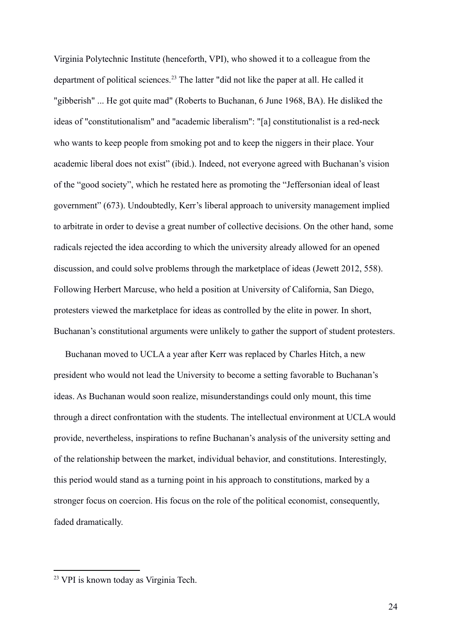Virginia Polytechnic Institute (henceforth, VPI), who showed it to a colleague from the department of political sciences.<sup>[23](#page-24-0)</sup> The latter "did not like the paper at all. He called it "gibberish" ... He got quite mad" (Roberts to Buchanan, 6 June 1968, BA). He disliked the ideas of "constitutionalism" and "academic liberalism": "[a] constitutionalist is a red-neck who wants to keep people from smoking pot and to keep the niggers in their place. Your academic liberal does not exist" (ibid.). Indeed, not everyone agreed with Buchanan's vision of the "good society", which he restated here as promoting the "Jeffersonian ideal of least government" (673). Undoubtedly, Kerr's liberal approach to university management implied to arbitrate in order to devise a great number of collective decisions. On the other hand, some radicals rejected the idea according to which the university already allowed for an opened discussion, and could solve problems through the marketplace of ideas (Jewett 2012, 558). Following Herbert Marcuse, who held a position at University of California, San Diego, protesters viewed the marketplace for ideas as controlled by the elite in power. In short, Buchanan's constitutional arguments were unlikely to gather the support of student protesters.

 Buchanan moved to UCLA a year after Kerr was replaced by Charles Hitch, a new president who would not lead the University to become a setting favorable to Buchanan's ideas. As Buchanan would soon realize, misunderstandings could only mount, this time through a direct confrontation with the students. The intellectual environment at UCLA would provide, nevertheless, inspirations to refine Buchanan's analysis of the university setting and of the relationship between the market, individual behavior, and constitutions. Interestingly, this period would stand as a turning point in his approach to constitutions, marked by a stronger focus on coercion. His focus on the role of the political economist, consequently, faded dramatically.

<span id="page-24-0"></span><sup>&</sup>lt;sup>23</sup> VPI is known today as Virginia Tech.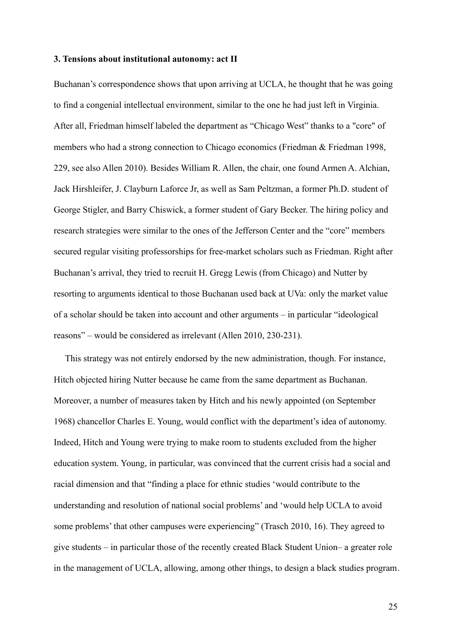#### **3. Tensions about institutional autonomy: act II**

Buchanan's correspondence shows that upon arriving at UCLA, he thought that he was going to find a congenial intellectual environment, similar to the one he had just left in Virginia. After all, Friedman himself labeled the department as "Chicago West" thanks to a "core" of members who had a strong connection to Chicago economics (Friedman & Friedman 1998, 229, see also Allen 2010). Besides William R. Allen, the chair, one found Armen A. Alchian, Jack Hirshleifer, J. Clayburn Laforce Jr, as well as Sam Peltzman, a former Ph.D. student of George Stigler, and Barry Chiswick, a former student of Gary Becker. The hiring policy and research strategies were similar to the ones of the Jefferson Center and the "core" members secured regular visiting professorships for free-market scholars such as Friedman. Right after Buchanan's arrival, they tried to recruit H. Gregg Lewis (from Chicago) and Nutter by resorting to arguments identical to those Buchanan used back at UVa: only the market value of a scholar should be taken into account and other arguments – in particular "ideological reasons" – would be considered as irrelevant (Allen 2010, 230-231).

 This strategy was not entirely endorsed by the new administration, though. For instance, Hitch objected hiring Nutter because he came from the same department as Buchanan. Moreover, a number of measures taken by Hitch and his newly appointed (on September 1968) chancellor Charles E. Young, would conflict with the department's idea of autonomy. Indeed, Hitch and Young were trying to make room to students excluded from the higher education system. Young, in particular, was convinced that the current crisis had a social and racial dimension and that "finding a place for ethnic studies 'would contribute to the understanding and resolution of national social problems' and 'would help UCLA to avoid some problems' that other campuses were experiencing" (Trasch 2010, 16). They agreed to give students – in particular those of the recently created Black Student Union– a greater role in the management of UCLA, allowing, among other things, to design a black studies program.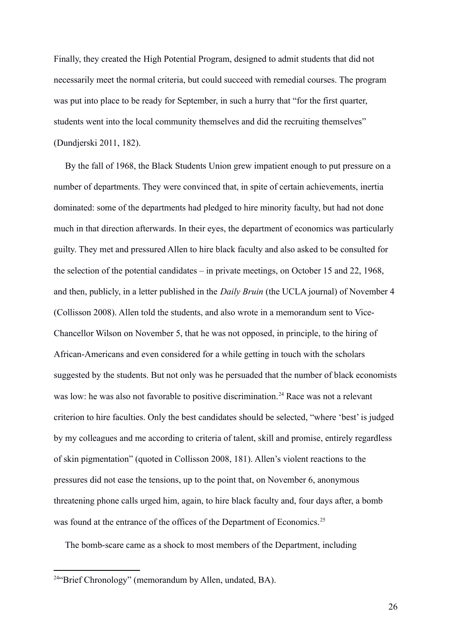Finally, they created the High Potential Program, designed to admit students that did not necessarily meet the normal criteria, but could succeed with remedial courses. The program was put into place to be ready for September, in such a hurry that "for the first quarter, students went into the local community themselves and did the recruiting themselves" (Dundjerski 2011, 182).

 By the fall of 1968, the Black Students Union grew impatient enough to put pressure on a number of departments. They were convinced that, in spite of certain achievements, inertia dominated: some of the departments had pledged to hire minority faculty, but had not done much in that direction afterwards. In their eyes, the department of economics was particularly guilty. They met and pressured Allen to hire black faculty and also asked to be consulted for the selection of the potential candidates – in private meetings, on October 15 and 22, 1968, and then, publicly, in a letter published in the *Daily Bruin* (the UCLA journal) of November 4 (Collisson 2008). Allen told the students, and also wrote in a memorandum sent to Vice-Chancellor Wilson on November 5, that he was not opposed, in principle, to the hiring of African-Americans and even considered for a while getting in touch with the scholars suggested by the students. But not only was he persuaded that the number of black economists was low: he was also not favorable to positive discrimination.<sup>[24](#page-26-0)</sup> Race was not a relevant criterion to hire faculties. Only the best candidates should be selected, "where 'best' is judged by my colleagues and me according to criteria of talent, skill and promise, entirely regardless of skin pigmentation" (quoted in Collisson 2008, 181). Allen's violent reactions to the pressures did not ease the tensions, up to the point that, on November 6, anonymous threatening phone calls urged him, again, to hire black faculty and, four days after, a bomb was found at the entrance of the offices of the Department of Economics.<sup>25</sup>

The bomb-scare came as a shock to most members of the Department, including

<span id="page-26-0"></span><sup>&</sup>lt;sup>24 $\alpha$ </sup>Brief Chronology" (memorandum by Allen, undated, BA).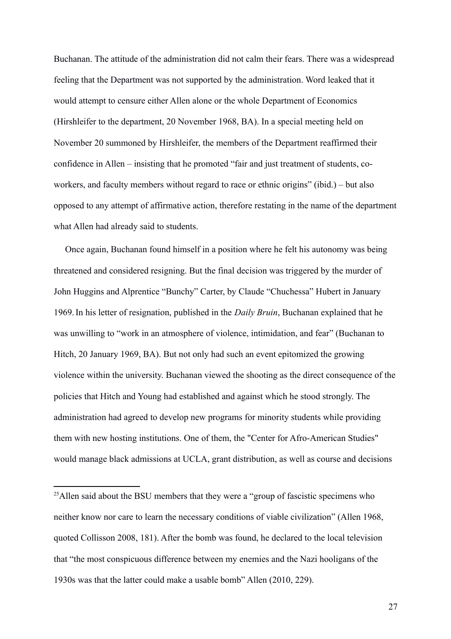Buchanan. The attitude of the administration did not calm their fears. There was a widespread feeling that the Department was not supported by the administration. Word leaked that it would attempt to censure either Allen alone or the whole Department of Economics (Hirshleifer to the department, 20 November 1968, BA). In a special meeting held on November 20 summoned by Hirshleifer, the members of the Department reaffirmed their confidence in Allen – insisting that he promoted "fair and just treatment of students, coworkers, and faculty members without regard to race or ethnic origins" (ibid.) – but also opposed to any attempt of affirmative action, therefore restating in the name of the department what Allen had already said to students.

 Once again, Buchanan found himself in a position where he felt his autonomy was being threatened and considered resigning. But the final decision was triggered by the murder of John Huggins and Alprentice "Bunchy" Carter, by Claude "Chuchessa" Hubert in January 1969.In his letter of resignation, published in the *Daily Bruin*, Buchanan explained that he was unwilling to "work in an atmosphere of violence, intimidation, and fear" (Buchanan to Hitch, 20 January 1969, BA). But not only had such an event epitomized the growing violence within the university. Buchanan viewed the shooting as the direct consequence of the policies that Hitch and Young had established and against which he stood strongly. The administration had agreed to develop new programs for minority students while providing them with new hosting institutions. One of them, the "Center for Afro-American Studies" would manage black admissions at UCLA, grant distribution, as well as course and decisions

<sup>&</sup>lt;sup>25</sup>Allen said about the BSU members that they were a "group of fascistic specimens who neither know nor care to learn the necessary conditions of viable civilization" (Allen 1968, quoted Collisson 2008, 181). After the bomb was found, he declared to the local television that "the most conspicuous difference between my enemies and the Nazi hooligans of the 1930s was that the latter could make a usable bomb" Allen (2010, 229).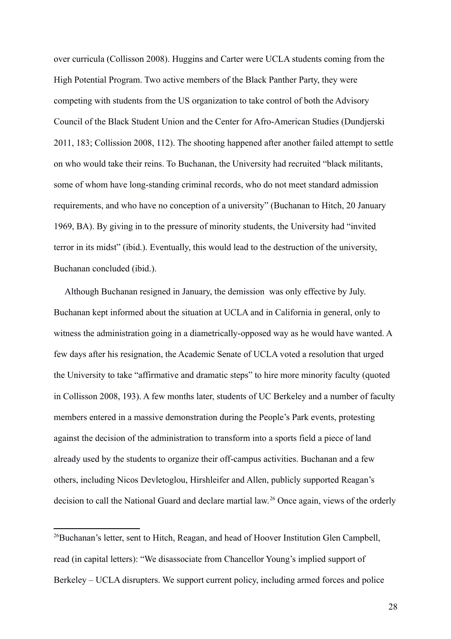over curricula (Collisson 2008). Huggins and Carter were UCLA students coming from the High Potential Program. Two active members of the Black Panther Party, they were competing with students from the US organization to take control of both the Advisory Council of the Black Student Union and the Center for Afro-American Studies (Dundjerski 2011, 183; Collission 2008, 112). The shooting happened after another failed attempt to settle on who would take their reins. To Buchanan, the University had recruited "black militants, some of whom have long-standing criminal records, who do not meet standard admission requirements, and who have no conception of a university" (Buchanan to Hitch, 20 January 1969, BA). By giving in to the pressure of minority students, the University had "invited terror in its midst" (ibid.). Eventually, this would lead to the destruction of the university, Buchanan concluded (ibid.).

 Although Buchanan resigned in January, the demission was only effective by July. Buchanan kept informed about the situation at UCLA and in California in general, only to witness the administration going in a diametrically-opposed way as he would have wanted. A few days after his resignation, the Academic Senate of UCLA voted a resolution that urged the University to take "affirmative and dramatic steps" to hire more minority faculty (quoted in Collisson 2008, 193). A few months later, students of UC Berkeley and a number of faculty members entered in a massive demonstration during the People's Park events, protesting against the decision of the administration to transform into a sports field a piece of land already used by the students to organize their off-campus activities. Buchanan and a few others, including Nicos Devletoglou, Hirshleifer and Allen, publicly supported Reagan's decision to call the National Guard and declare martial law.<sup>[26](#page-28-0)</sup> Once again, views of the orderly

<span id="page-28-0"></span><sup>26</sup> Buchanan's letter, sent to Hitch, Reagan, and head of Hoover Institution Glen Campbell, read (in capital letters): "We disassociate from Chancellor Young's implied support of Berkeley – UCLA disrupters. We support current policy, including armed forces and police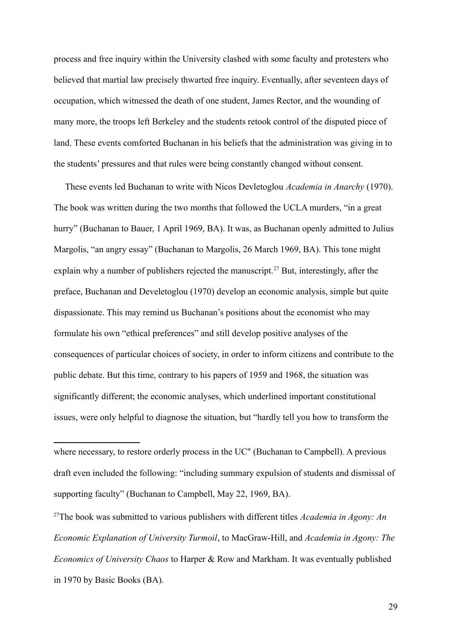process and free inquiry within the University clashed with some faculty and protesters who believed that martial law precisely thwarted free inquiry. Eventually, after seventeen days of occupation, which witnessed the death of one student, James Rector, and the wounding of many more, the troops left Berkeley and the students retook control of the disputed piece of land. These events comforted Buchanan in his beliefs that the administration was giving in to the students' pressures and that rules were being constantly changed without consent.

 These events led Buchanan to write with Nicos Devletoglou *Academia in Anarchy* (1970). The book was written during the two months that followed the UCLA murders, "in a great hurry" (Buchanan to Bauer, 1 April 1969, BA). It was, as Buchanan openly admitted to Julius Margolis, "an angry essay" (Buchanan to Margolis, 26 March 1969, BA). This tone might explain why a number of publishers rejected the manuscript.<sup>[27](#page-29-0)</sup> But, interestingly, after the preface, Buchanan and Develetoglou (1970) develop an economic analysis, simple but quite dispassionate. This may remind us Buchanan's positions about the economist who may formulate his own "ethical preferences" and still develop positive analyses of the consequences of particular choices of society, in order to inform citizens and contribute to the public debate. But this time, contrary to his papers of 1959 and 1968, the situation was significantly different; the economic analyses, which underlined important constitutional issues, were only helpful to diagnose the situation, but "hardly tell you how to transform the

<span id="page-29-0"></span><sup>27</sup>The book was submitted to various publishers with different titles *Academia in Agony: An Economic Explanation of University Turmoil*, to MacGraw-Hill, and *Academia in Agony: The Economics of University Chaos* to Harper & Row and Markham. It was eventually published in 1970 by Basic Books (BA).

where necessary, to restore orderly process in the UC" (Buchanan to Campbell). A previous draft even included the following: "including summary expulsion of students and dismissal of supporting faculty" (Buchanan to Campbell, May 22, 1969, BA).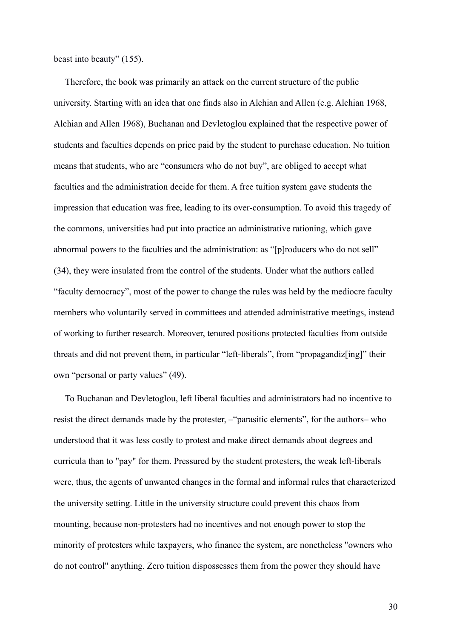beast into beauty" (155).

 Therefore, the book was primarily an attack on the current structure of the public university. Starting with an idea that one finds also in Alchian and Allen (e.g. Alchian 1968, Alchian and Allen 1968), Buchanan and Devletoglou explained that the respective power of students and faculties depends on price paid by the student to purchase education. No tuition means that students, who are "consumers who do not buy", are obliged to accept what faculties and the administration decide for them. A free tuition system gave students the impression that education was free, leading to its over-consumption. To avoid this tragedy of the commons, universities had put into practice an administrative rationing, which gave abnormal powers to the faculties and the administration: as "[p]roducers who do not sell" (34), they were insulated from the control of the students. Under what the authors called "faculty democracy", most of the power to change the rules was held by the mediocre faculty members who voluntarily served in committees and attended administrative meetings, instead of working to further research. Moreover, tenured positions protected faculties from outside threats and did not prevent them, in particular "left-liberals", from "propagandiz[ing]" their own "personal or party values" (49).

 To Buchanan and Devletoglou, left liberal faculties and administrators had no incentive to resist the direct demands made by the protester, –"parasitic elements", for the authors– who understood that it was less costly to protest and make direct demands about degrees and curricula than to "pay" for them. Pressured by the student protesters, the weak left-liberals were, thus, the agents of unwanted changes in the formal and informal rules that characterized the university setting. Little in the university structure could prevent this chaos from mounting, because non-protesters had no incentives and not enough power to stop the minority of protesters while taxpayers, who finance the system, are nonetheless "owners who do not control" anything. Zero tuition dispossesses them from the power they should have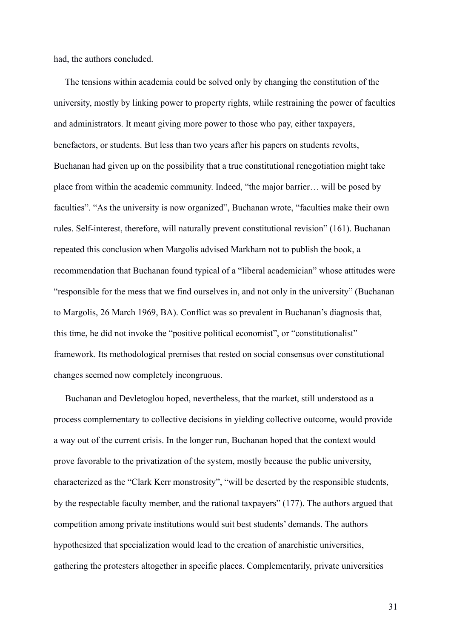had, the authors concluded.

 The tensions within academia could be solved only by changing the constitution of the university, mostly by linking power to property rights, while restraining the power of faculties and administrators. It meant giving more power to those who pay, either taxpayers, benefactors, or students. But less than two years after his papers on students revolts, Buchanan had given up on the possibility that a true constitutional renegotiation might take place from within the academic community. Indeed, "the major barrier… will be posed by faculties". "As the university is now organized", Buchanan wrote, "faculties make their own rules. Self-interest, therefore, will naturally prevent constitutional revision" (161). Buchanan repeated this conclusion when Margolis advised Markham not to publish the book, a recommendation that Buchanan found typical of a "liberal academician" whose attitudes were "responsible for the mess that we find ourselves in, and not only in the university" (Buchanan to Margolis, 26 March 1969, BA). Conflict was so prevalent in Buchanan's diagnosis that, this time, he did not invoke the "positive political economist", or "constitutionalist" framework. Its methodological premises that rested on social consensus over constitutional changes seemed now completely incongruous.

 Buchanan and Devletoglou hoped, nevertheless, that the market, still understood as a process complementary to collective decisions in yielding collective outcome, would provide a way out of the current crisis. In the longer run, Buchanan hoped that the context would prove favorable to the privatization of the system, mostly because the public university, characterized as the "Clark Kerr monstrosity", "will be deserted by the responsible students, by the respectable faculty member, and the rational taxpayers" (177). The authors argued that competition among private institutions would suit best students' demands. The authors hypothesized that specialization would lead to the creation of anarchistic universities, gathering the protesters altogether in specific places. Complementarily, private universities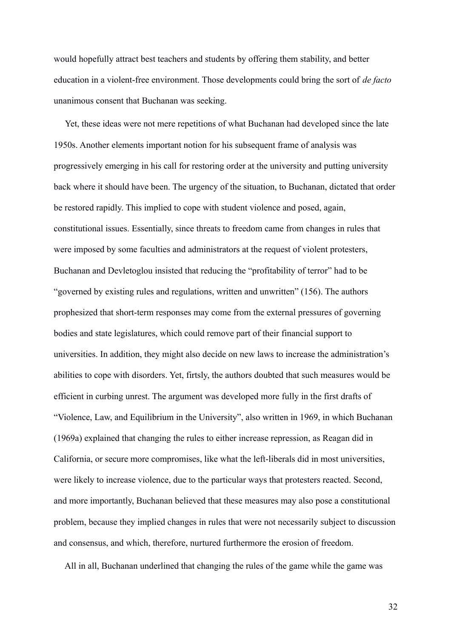would hopefully attract best teachers and students by offering them stability, and better education in a violent-free environment. Those developments could bring the sort of *de facto* unanimous consent that Buchanan was seeking.

 Yet, these ideas were not mere repetitions of what Buchanan had developed since the late 1950s. Another elements important notion for his subsequent frame of analysis was progressively emerging in his call for restoring order at the university and putting university back where it should have been. The urgency of the situation, to Buchanan, dictated that order be restored rapidly. This implied to cope with student violence and posed, again, constitutional issues. Essentially, since threats to freedom came from changes in rules that were imposed by some faculties and administrators at the request of violent protesters, Buchanan and Devletoglou insisted that reducing the "profitability of terror" had to be "governed by existing rules and regulations, written and unwritten" (156). The authors prophesized that short-term responses may come from the external pressures of governing bodies and state legislatures, which could remove part of their financial support to universities. In addition, they might also decide on new laws to increase the administration's abilities to cope with disorders. Yet, firtsly, the authors doubted that such measures would be efficient in curbing unrest. The argument was developed more fully in the first drafts of "Violence, Law, and Equilibrium in the University", also written in 1969, in which Buchanan (1969a) explained that changing the rules to either increase repression, as Reagan did in California, or secure more compromises, like what the left-liberals did in most universities, were likely to increase violence, due to the particular ways that protesters reacted. Second, and more importantly, Buchanan believed that these measures may also pose a constitutional problem, because they implied changes in rules that were not necessarily subject to discussion and consensus, and which, therefore, nurtured furthermore the erosion of freedom.

All in all, Buchanan underlined that changing the rules of the game while the game was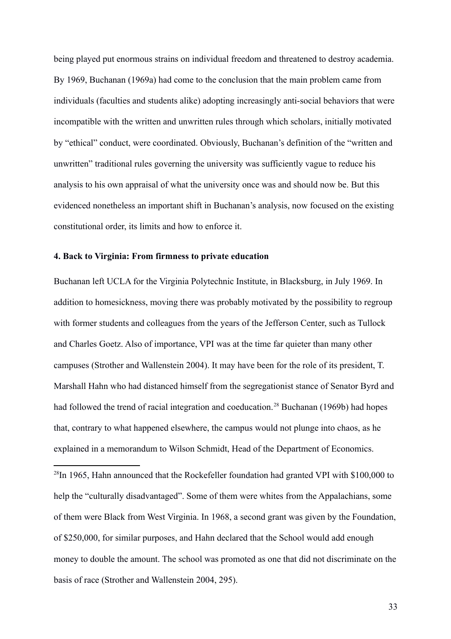being played put enormous strains on individual freedom and threatened to destroy academia. By 1969, Buchanan (1969a) had come to the conclusion that the main problem came from individuals (faculties and students alike) adopting increasingly anti-social behaviors that were incompatible with the written and unwritten rules through which scholars, initially motivated by "ethical" conduct, were coordinated. Obviously, Buchanan's definition of the "written and unwritten" traditional rules governing the university was sufficiently vague to reduce his analysis to his own appraisal of what the university once was and should now be. But this evidenced nonetheless an important shift in Buchanan's analysis, now focused on the existing constitutional order, its limits and how to enforce it.

#### **4. Back to Virginia: From firmness to private education**

Buchanan left UCLA for the Virginia Polytechnic Institute, in Blacksburg, in July 1969. In addition to homesickness, moving there was probably motivated by the possibility to regroup with former students and colleagues from the years of the Jefferson Center, such as Tullock and Charles Goetz. Also of importance, VPI was at the time far quieter than many other campuses (Strother and Wallenstein 2004). It may have been for the role of its president, T. Marshall Hahn who had distanced himself from the segregationist stance of Senator Byrd and had followed the trend of racial integration and coeducation.<sup>[28](#page-33-0)</sup> Buchanan (1969b) had hopes that, contrary to what happened elsewhere, the campus would not plunge into chaos, as he explained in a memorandum to Wilson Schmidt, Head of the Department of Economics.

<span id="page-33-0"></span> $^{28}$ In 1965, Hahn announced that the Rockefeller foundation had granted VPI with \$100,000 to help the "culturally disadvantaged". Some of them were whites from the Appalachians, some of them were Black from West Virginia. In 1968, a second grant was given by the Foundation, of \$250,000, for similar purposes, and Hahn declared that the School would add enough money to double the amount. The school was promoted as one that did not discriminate on the basis of race (Strother and Wallenstein 2004, 295).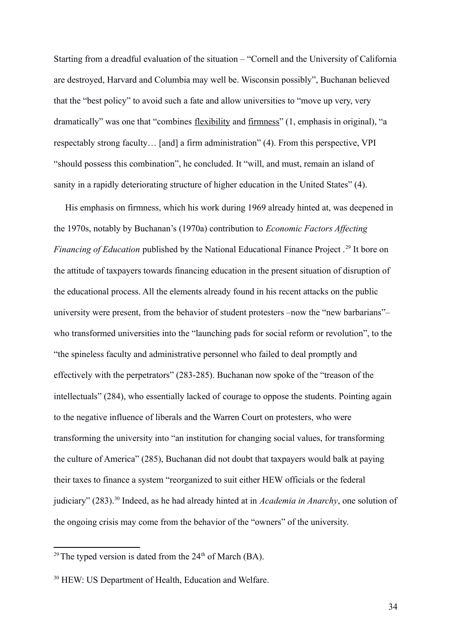Starting from a dreadful evaluation of the situation – "Cornell and the University of California are destroyed, Harvard and Columbia may well be. Wisconsin possibly", Buchanan believed that the "best policy" to avoid such a fate and allow universities to "move up very, very dramatically" was one that "combines flexibility and firmness" (1, emphasis in original), "a respectably strong faculty… [and] a firm administration" (4). From this perspective, VPI "should possess this combination", he concluded. It "will, and must, remain an island of sanity in a rapidly deteriorating structure of higher education in the United States" (4).

 His emphasis on firmness, which his work during 1969 already hinted at, was deepened in the 1970s, notably by Buchanan's (1970a) contribution to *Economic Factors Affecting Financing of Education* published by the National Educational Finance Project .<sup>[29](#page-34-0)</sup> It bore on the attitude of taxpayers towards financing education in the present situation of disruption of the educational process. All the elements already found in his recent attacks on the public university were present, from the behavior of student protesters –now the "new barbarians"– who transformed universities into the "launching pads for social reform or revolution", to the "the spineless faculty and administrative personnel who failed to deal promptly and effectively with the perpetrators" (283-285). Buchanan now spoke of the "treason of the intellectuals" (284), who essentially lacked of courage to oppose the students. Pointing again to the negative influence of liberals and the Warren Court on protesters, who were transforming the university into "an institution for changing social values, for transforming the culture of America" (285), Buchanan did not doubt that taxpayers would balk at paying their taxes to finance a system "reorganized to suit either HEW officials or the federal judiciary" (283).[30](#page-34-1) Indeed, as he had already hinted at in *Academia in Anarchy*, one solution of the ongoing crisis may come from the behavior of the "owners" of the university.

<span id="page-34-0"></span><sup>&</sup>lt;sup>29</sup>The typed version is dated from the  $24<sup>th</sup>$  of March (BA).

<span id="page-34-1"></span><sup>30</sup> HEW: US Department of Health, Education and Welfare.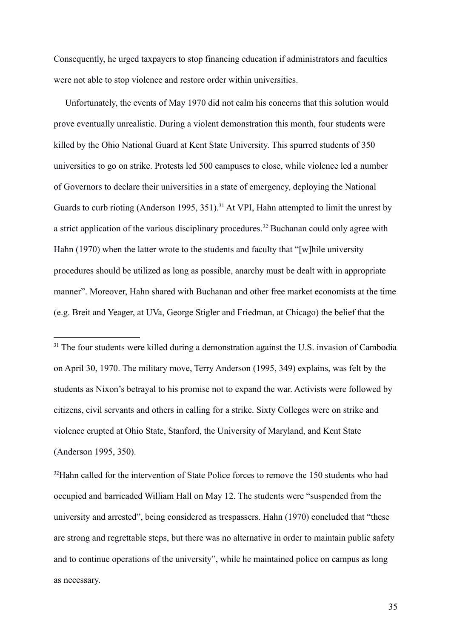Consequently, he urged taxpayers to stop financing education if administrators and faculties were not able to stop violence and restore order within universities.

 Unfortunately, the events of May 1970 did not calm his concerns that this solution would prove eventually unrealistic. During a violent demonstration this month, four students were killed by the Ohio National Guard at Kent State University. This spurred students of 350 universities to go on strike. Protests led 500 campuses to close, while violence led a number of Governors to declare their universities in a state of emergency, deploying the National Guards to curb rioting (Anderson 1995, 351).<sup>[31](#page-35-0)</sup> At VPI, Hahn attempted to limit the unrest by a strict application of the various disciplinary procedures.<sup>[32](#page-35-1)</sup> Buchanan could only agree with Hahn (1970) when the latter wrote to the students and faculty that "[w]hile university procedures should be utilized as long as possible, anarchy must be dealt with in appropriate manner". Moreover, Hahn shared with Buchanan and other free market economists at the time (e.g. Breit and Yeager, at UVa, George Stigler and Friedman, at Chicago) the belief that the

<span id="page-35-0"></span><sup>31</sup> The four students were killed during a demonstration against the U.S. invasion of Cambodia on April 30, 1970. The military move, Terry Anderson (1995, 349) explains, was felt by the students as Nixon's betrayal to his promise not to expand the war. Activists were followed by citizens, civil servants and others in calling for a strike. Sixty Colleges were on strike and violence erupted at Ohio State, Stanford, the University of Maryland, and Kent State (Anderson 1995, 350).

<span id="page-35-1"></span> $32$ Hahn called for the intervention of State Police forces to remove the 150 students who had occupied and barricaded William Hall on May 12. The students were "suspended from the university and arrested", being considered as trespassers. Hahn (1970) concluded that "these are strong and regrettable steps, but there was no alternative in order to maintain public safety and to continue operations of the university", while he maintained police on campus as long as necessary.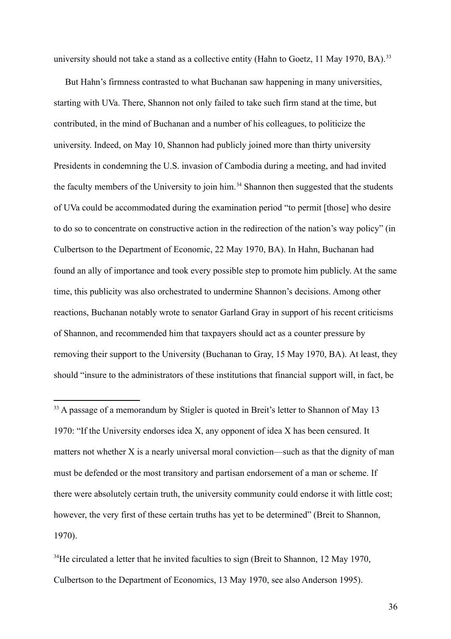university should not take a stand as a collective entity (Hahn to Goetz,  $11$  May 1970, BA).<sup>[33](#page-36-0)</sup>

 But Hahn's firmness contrasted to what Buchanan saw happening in many universities, starting with UVa. There, Shannon not only failed to take such firm stand at the time, but contributed, in the mind of Buchanan and a number of his colleagues, to politicize the university. Indeed, on May 10, Shannon had publicly joined more than thirty university Presidents in condemning the U.S. invasion of Cambodia during a meeting, and had invited the faculty members of the University to join him.<sup>[34](#page-36-1)</sup> Shannon then suggested that the students of UVa could be accommodated during the examination period "to permit [those] who desire to do so to concentrate on constructive action in the redirection of the nation's way policy" (in Culbertson to the Department of Economic, 22 May 1970, BA). In Hahn, Buchanan had found an ally of importance and took every possible step to promote him publicly. At the same time, this publicity was also orchestrated to undermine Shannon's decisions. Among other reactions, Buchanan notably wrote to senator Garland Gray in support of his recent criticisms of Shannon, and recommended him that taxpayers should act as a counter pressure by removing their support to the University (Buchanan to Gray, 15 May 1970, BA). At least, they should "insure to the administrators of these institutions that financial support will, in fact, be

<span id="page-36-0"></span><sup>33</sup><sup>[2]</sup> A passage of a memorandum by Stigler is quoted in Breit's letter to Shannon of May 13 1970: "If the University endorses idea X, any opponent of idea X has been censured. It matters not whether X is a nearly universal moral conviction—such as that the dignity of man must be defended or the most transitory and partisan endorsement of a man or scheme. If there were absolutely certain truth, the university community could endorse it with little cost; however, the very first of these certain truths has yet to be determined" (Breit to Shannon, 1970).

<span id="page-36-1"></span> $34$ He circulated a letter that he invited faculties to sign (Breit to Shannon, 12 May 1970, Culbertson to the Department of Economics, 13 May 1970, see also Anderson 1995).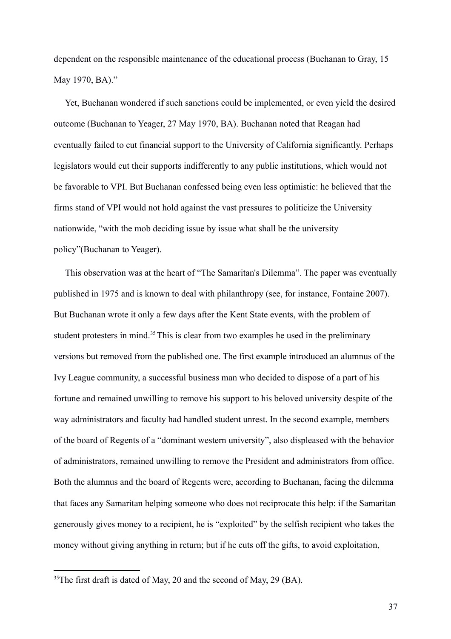dependent on the responsible maintenance of the educational process (Buchanan to Gray, 15 May 1970, BA)."

 Yet, Buchanan wondered if such sanctions could be implemented, or even yield the desired outcome (Buchanan to Yeager, 27 May 1970, BA). Buchanan noted that Reagan had eventually failed to cut financial support to the University of California significantly. Perhaps legislators would cut their supports indifferently to any public institutions, which would not be favorable to VPI. But Buchanan confessed being even less optimistic: he believed that the firms stand of VPI would not hold against the vast pressures to politicize the University nationwide, "with the mob deciding issue by issue what shall be the university policy"(Buchanan to Yeager).

 This observation was at the heart of "The Samaritan's Dilemma". The paper was eventually published in 1975 and is known to deal with philanthropy (see, for instance, Fontaine 2007). But Buchanan wrote it only a few days after the Kent State events, with the problem of student protesters in mind.<sup>[35](#page-37-0)</sup> This is clear from two examples he used in the preliminary versions but removed from the published one. The first example introduced an alumnus of the Ivy League community, a successful business man who decided to dispose of a part of his fortune and remained unwilling to remove his support to his beloved university despite of the way administrators and faculty had handled student unrest. In the second example, members of the board of Regents of a "dominant western university", also displeased with the behavior of administrators, remained unwilling to remove the President and administrators from office. Both the alumnus and the board of Regents were, according to Buchanan, facing the dilemma that faces any Samaritan helping someone who does not reciprocate this help: if the Samaritan generously gives money to a recipient, he is "exploited" by the selfish recipient who takes the money without giving anything in return; but if he cuts off the gifts, to avoid exploitation,

<span id="page-37-0"></span><sup>&</sup>lt;sup>35</sup>The first draft is dated of May, 20 and the second of May, 29 (BA).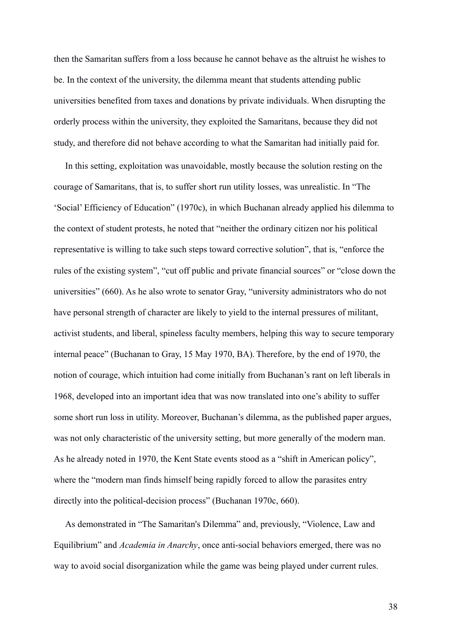then the Samaritan suffers from a loss because he cannot behave as the altruist he wishes to be. In the context of the university, the dilemma meant that students attending public universities benefited from taxes and donations by private individuals. When disrupting the orderly process within the university, they exploited the Samaritans, because they did not study, and therefore did not behave according to what the Samaritan had initially paid for.

 In this setting, exploitation was unavoidable, mostly because the solution resting on the courage of Samaritans, that is, to suffer short run utility losses, was unrealistic. In "The 'Social' Efficiency of Education" (1970c), in which Buchanan already applied his dilemma to the context of student protests, he noted that "neither the ordinary citizen nor his political representative is willing to take such steps toward corrective solution", that is, "enforce the rules of the existing system", "cut off public and private financial sources" or "close down the universities" (660). As he also wrote to senator Gray, "university administrators who do not have personal strength of character are likely to yield to the internal pressures of militant, activist students, and liberal, spineless faculty members, helping this way to secure temporary internal peace" (Buchanan to Gray, 15 May 1970, BA). Therefore, by the end of 1970, the notion of courage, which intuition had come initially from Buchanan's rant on left liberals in 1968, developed into an important idea that was now translated into one's ability to suffer some short run loss in utility. Moreover, Buchanan's dilemma, as the published paper argues, was not only characteristic of the university setting, but more generally of the modern man. As he already noted in 1970, the Kent State events stood as a "shift in American policy", where the "modern man finds himself being rapidly forced to allow the parasites entry directly into the political-decision process" (Buchanan 1970c, 660).

 As demonstrated in "The Samaritan's Dilemma" and, previously, "Violence, Law and Equilibrium" and *Academia in Anarchy*, once anti-social behaviors emerged, there was no way to avoid social disorganization while the game was being played under current rules.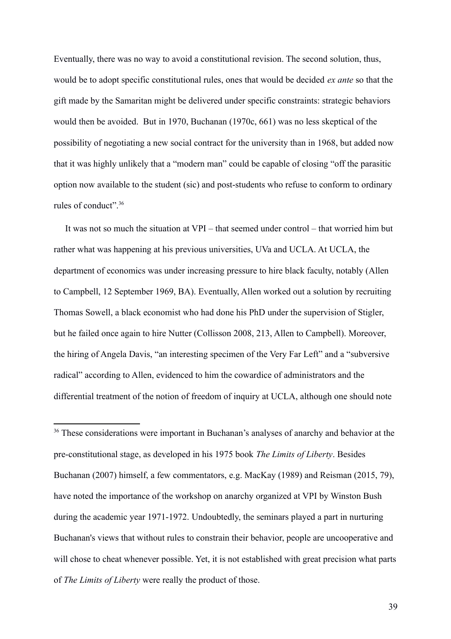Eventually, there was no way to avoid a constitutional revision. The second solution, thus, would be to adopt specific constitutional rules, ones that would be decided *ex ante* so that the gift made by the Samaritan might be delivered under specific constraints: strategic behaviors would then be avoided. But in 1970, Buchanan (1970c, 661) was no less skeptical of the possibility of negotiating a new social contract for the university than in 1968, but added now that it was highly unlikely that a "modern man" could be capable of closing "off the parasitic option now available to the student (sic) and post-students who refuse to conform to ordinary rules of conduct".[36](#page-39-0)

 It was not so much the situation at VPI – that seemed under control – that worried him but rather what was happening at his previous universities, UVa and UCLA. At UCLA, the department of economics was under increasing pressure to hire black faculty, notably (Allen to Campbell, 12 September 1969, BA). Eventually, Allen worked out a solution by recruiting Thomas Sowell, a black economist who had done his PhD under the supervision of Stigler, but he failed once again to hire Nutter (Collisson 2008, 213, Allen to Campbell). Moreover, the hiring of Angela Davis, "an interesting specimen of the Very Far Left" and a "subversive radical" according to Allen, evidenced to him the cowardice of administrators and the differential treatment of the notion of freedom of inquiry at UCLA, although one should note

<span id="page-39-0"></span><sup>36 $\text{Tr}$ </sup> These considerations were important in Buchanan's analyses of anarchy and behavior at the pre-constitutional stage, as developed in his 1975 book *The Limits of Liberty*. Besides Buchanan (2007) himself, a few commentators, e.g. MacKay (1989) and Reisman (2015, 79), have noted the importance of the workshop on anarchy organized at VPI by Winston Bush during the academic year 1971-1972. Undoubtedly, the seminars played a part in nurturing Buchanan's views that without rules to constrain their behavior, people are uncooperative and will chose to cheat whenever possible. Yet, it is not established with great precision what parts of *The Limits of Liberty* were really the product of those.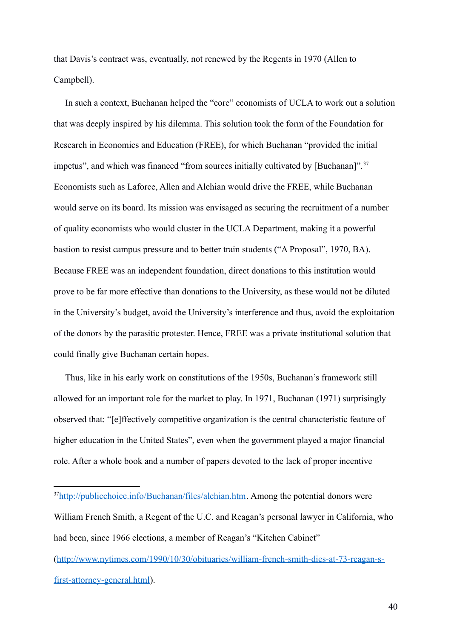that Davis's contract was, eventually, not renewed by the Regents in 1970 (Allen to Campbell).

 In such a context, Buchanan helped the "core" economists of UCLA to work out a solution that was deeply inspired by his dilemma. This solution took the form of the Foundation for Research in Economics and Education (FREE), for which Buchanan "provided the initial impetus", and which was financed "from sources initially cultivated by [Buchanan]".<sup>[37](#page-40-0)</sup> Economists such as Laforce, Allen and Alchian would drive the FREE, while Buchanan would serve on its board. Its mission was envisaged as securing the recruitment of a number of quality economists who would cluster in the UCLA Department, making it a powerful bastion to resist campus pressure and to better train students ("A Proposal", 1970, BA). Because FREE was an independent foundation, direct donations to this institution would prove to be far more effective than donations to the University, as these would not be diluted in the University's budget, avoid the University's interference and thus, avoid the exploitation of the donors by the parasitic protester. Hence, FREE was a private institutional solution that could finally give Buchanan certain hopes.

 Thus, like in his early work on constitutions of the 1950s, Buchanan's framework still allowed for an important role for the market to play. In 1971, Buchanan (1971) surprisingly observed that: "[e]ffectively competitive organization is the central characteristic feature of higher education in the United States", even when the government played a major financial role. After a whole book and a number of papers devoted to the lack of proper incentive

<span id="page-40-0"></span><sup>&</sup>lt;sup>37</sup>[http://publicchoice.info/Buchanan/files/alchian.htm.](http://publicchoice.info/Buchanan/files/alchian.htm) Among the potential donors were William French Smith, a Regent of the U.C. and Reagan's personal lawyer in California, who had been, since 1966 elections, a member of Reagan's "Kitchen Cabinet"

[<sup>\(</sup>http://www.nytimes.com/1990/10/30/obituaries/william-french-smith-dies-at-73-reagan-s](http://www.nytimes.com/1990/10/30/obituaries/william-french-smith-dies-at-73-reagan-s-first-attorney-general.html)[first-attorney-general.html\)](http://www.nytimes.com/1990/10/30/obituaries/william-french-smith-dies-at-73-reagan-s-first-attorney-general.html).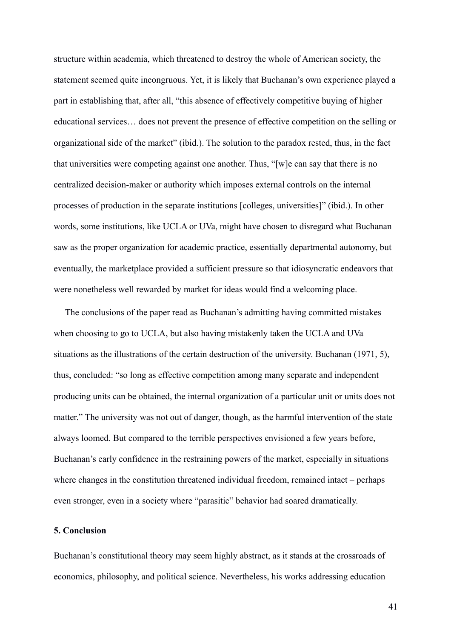structure within academia, which threatened to destroy the whole of American society, the statement seemed quite incongruous. Yet, it is likely that Buchanan's own experience played a part in establishing that, after all, "this absence of effectively competitive buying of higher educational services… does not prevent the presence of effective competition on the selling or organizational side of the market" (ibid.). The solution to the paradox rested, thus, in the fact that universities were competing against one another. Thus, "[w]e can say that there is no centralized decision-maker or authority which imposes external controls on the internal processes of production in the separate institutions [colleges, universities]" (ibid.). In other words, some institutions, like UCLA or UVa, might have chosen to disregard what Buchanan saw as the proper organization for academic practice, essentially departmental autonomy, but eventually, the marketplace provided a sufficient pressure so that idiosyncratic endeavors that were nonetheless well rewarded by market for ideas would find a welcoming place.

 The conclusions of the paper read as Buchanan's admitting having committed mistakes when choosing to go to UCLA, but also having mistakenly taken the UCLA and UVa situations as the illustrations of the certain destruction of the university. Buchanan (1971, 5), thus, concluded: "so long as effective competition among many separate and independent producing units can be obtained, the internal organization of a particular unit or units does not matter." The university was not out of danger, though, as the harmful intervention of the state always loomed. But compared to the terrible perspectives envisioned a few years before, Buchanan's early confidence in the restraining powers of the market, especially in situations where changes in the constitution threatened individual freedom, remained intact – perhaps even stronger, even in a society where "parasitic" behavior had soared dramatically.

### **5. Conclusion**

Buchanan's constitutional theory may seem highly abstract, as it stands at the crossroads of economics, philosophy, and political science. Nevertheless, his works addressing education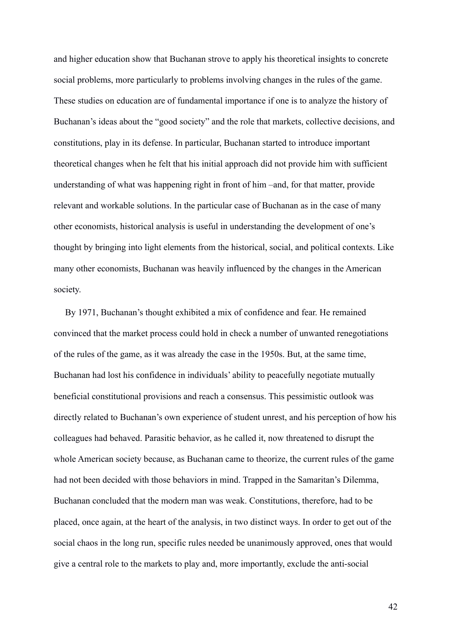and higher education show that Buchanan strove to apply his theoretical insights to concrete social problems, more particularly to problems involving changes in the rules of the game. These studies on education are of fundamental importance if one is to analyze the history of Buchanan's ideas about the "good society" and the role that markets, collective decisions, and constitutions, play in its defense. In particular, Buchanan started to introduce important theoretical changes when he felt that his initial approach did not provide him with sufficient understanding of what was happening right in front of him –and, for that matter, provide relevant and workable solutions. In the particular case of Buchanan as in the case of many other economists, historical analysis is useful in understanding the development of one's thought by bringing into light elements from the historical, social, and political contexts. Like many other economists, Buchanan was heavily influenced by the changes in the American society.

 By 1971, Buchanan's thought exhibited a mix of confidence and fear. He remained convinced that the market process could hold in check a number of unwanted renegotiations of the rules of the game, as it was already the case in the 1950s. But, at the same time, Buchanan had lost his confidence in individuals' ability to peacefully negotiate mutually beneficial constitutional provisions and reach a consensus. This pessimistic outlook was directly related to Buchanan's own experience of student unrest, and his perception of how his colleagues had behaved. Parasitic behavior, as he called it, now threatened to disrupt the whole American society because, as Buchanan came to theorize, the current rules of the game had not been decided with those behaviors in mind. Trapped in the Samaritan's Dilemma, Buchanan concluded that the modern man was weak. Constitutions, therefore, had to be placed, once again, at the heart of the analysis, in two distinct ways. In order to get out of the social chaos in the long run, specific rules needed be unanimously approved, ones that would give a central role to the markets to play and, more importantly, exclude the anti-social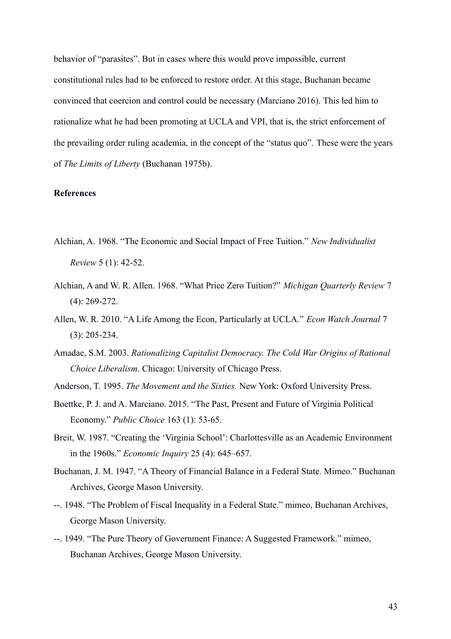behavior of "parasites". But in cases where this would prove impossible, current constitutional rules had to be enforced to restore order. At this stage, Buchanan became convinced that coercion and control could be necessary (Marciano 2016). This led him to rationalize what he had been promoting at UCLA and VPI, that is, the strict enforcement of the prevailing order ruling academia, in the concept of the "status quo". These were the years of *The Limits of Liberty* (Buchanan 1975b).

#### **References**

- Alchian, A. 1968. "The Economic and Social Impact of Free Tuition." *New Individualist Review* 5 (1): 42-52.
- Alchian, A and W. R. Allen. 1968. "What Price Zero Tuition?" *Michigan Quarterly Review* 7 (4): 269-272.
- Allen, W. R. 2010. "A Life Among the Econ, Particularly at UCLA." *Econ Watch Journal* 7 (3): 205-234.
- Amadae, S.M. 2003. *Rationalizing Capitalist Democracy. The Cold War Origins of Rational Choice Liberalism*. Chicago: University of Chicago Press.
- Anderson, T. 1995. *The Movement and the Sixties.* New York: Oxford University Press.
- Boettke, P. J. and A. Marciano. 2015. "The Past, Present and Future of Virginia Political Economy." *Public Choice* 163 (1): 53-65.
- Breit, W. 1987. "Creating the 'Virginia School': Charlottesville as an Academic Environment in the 1960s." *Economic Inquiry* 25 (4): 645–657.
- Buchanan, J. M. 1947. "A Theory of Financial Balance in a Federal State. Mimeo." Buchanan Archives, George Mason University.
- --. 1948. "The Problem of Fiscal Inequality in a Federal State." mimeo, Buchanan Archives, George Mason University.
- --. 1949. "The Pure Theory of Government Finance: A Suggested Framework." mimeo, Buchanan Archives, George Mason University.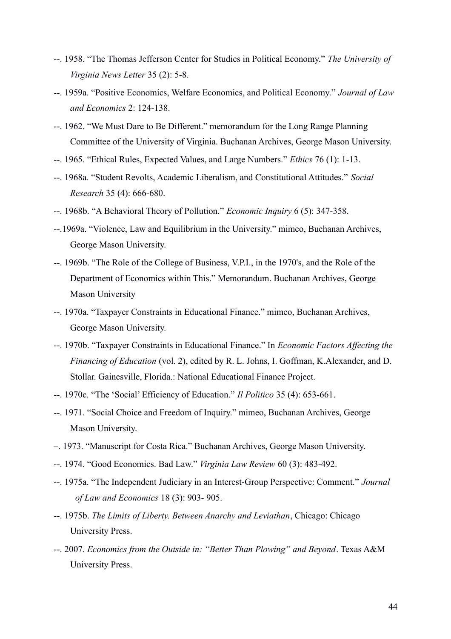- --. 1958. "The Thomas Jefferson Center for Studies in Political Economy." *The University of Virginia News Letter* 35 (2): 5-8.
- --. 1959a. "Positive Economics, Welfare Economics, and Political Economy." *Journal of Law and Economics* 2: 124-138.
- --. 1962. "We Must Dare to Be Different." memorandum for the Long Range Planning Committee of the University of Virginia. Buchanan Archives, George Mason University.
- --. 1965. "Ethical Rules, Expected Values, and Large Numbers." *Ethics* 76 (1): 1-13.
- --. 1968a. "Student Revolts, Academic Liberalism, and Constitutional Attitudes." *Social Research* 35 (4): 666-680.
- --. 1968b. "A Behavioral Theory of Pollution." *Economic Inquiry* 6 (5): 347-358.
- --.1969a. "Violence, Law and Equilibrium in the University." mimeo, Buchanan Archives, George Mason University.
- --. 1969b. "The Role of the College of Business, V.P.I., in the 1970's, and the Role of the Department of Economics within This." Memorandum. Buchanan Archives, George Mason University
- --. 1970a. "Taxpayer Constraints in Educational Finance." mimeo, Buchanan Archives, George Mason University.
- --. 1970b. "Taxpayer Constraints in Educational Finance." In *Economic Factors Affecting the Financing of Education* (vol. 2), edited by R. L. Johns, I. Goffman, K.Alexander, and D. Stollar. Gainesville, Florida.: National Educational Finance Project.
- --. 1970c. "The 'Social' Efficiency of Education." *Il Politico* 35 (4): 653-661.
- --. 1971. "Social Choice and Freedom of Inquiry." mimeo, Buchanan Archives, George Mason University.
- –. 1973. "Manuscript for Costa Rica." Buchanan Archives, George Mason University.
- --. 1974. "Good Economics. Bad Law." *Virginia Law Review* 60 (3): 483-492.
- --. 1975a. "The Independent Judiciary in an Interest-Group Perspective: Comment." *Journal of Law and Economics* 18 (3): 903- 905.
- --. 1975b. *The Limits of Liberty. Between Anarchy and Leviathan*, Chicago: Chicago University Press.
- --. 2007. *Economics from the Outside in: "Better Than Plowing" and Beyond*. Texas A&M University Press.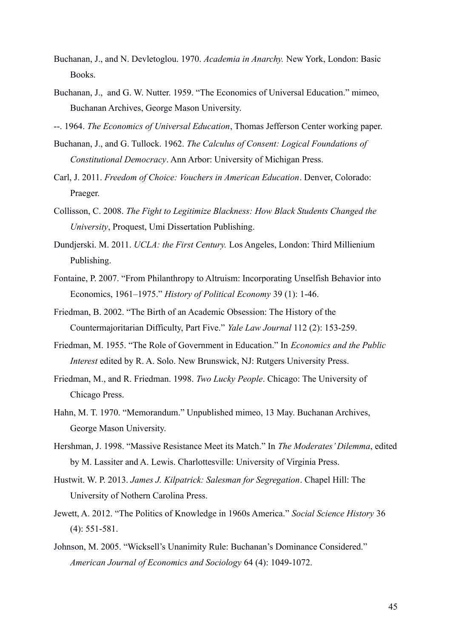- Buchanan, J., and N. Devletoglou. 1970. *Academia in Anarchy.* New York, London: Basic Books.
- Buchanan, J., and G. W. Nutter. 1959. "The Economics of Universal Education." mimeo, Buchanan Archives, George Mason University.
- --. 1964. *The Economics of Universal Education*, Thomas Jefferson Center working paper.
- Buchanan, J., and G. Tullock. 1962. *The Calculus of Consent: Logical Foundations of Constitutional Democracy*. Ann Arbor: University of Michigan Press.
- Carl, J. 2011. *Freedom of Choice: Vouchers in American Education*. Denver, Colorado: Praeger.
- Collisson, C. 2008. *The Fight to Legitimize Blackness: How Black Students Changed the University*, [Proquest, Umi Dissertation Publishing.](https://wordery.com/proquest-umi-dissertation-publishing-publisher)
- Dundjerski. M. 2011. *UCLA: the First Century.* Los Angeles, London: Third Millienium Publishing.
- Fontaine, P. 2007. "From Philanthropy to Altruism: Incorporating Unselfish Behavior into Economics, 1961–1975." *History of Political Economy* 39 (1): 1-46.
- Friedman, B. 2002. "The Birth of an Academic Obsession: The History of the Countermajoritarian Difficulty, Part Five." *Yale Law Journal* 112 (2): 153-259.
- Friedman, M. 1955. "The Role of Government in Education." In *Economics and the Public Interest* edited by R. A. Solo. New Brunswick, NJ: Rutgers University Press.
- Friedman, M., and R. Friedman. 1998. *Two Lucky People*. Chicago: The University of Chicago Press.
- Hahn, M. T. 1970. "Memorandum." Unpublished mimeo, 13 May. Buchanan Archives, George Mason University.
- Hershman, J. 1998. "Massive Resistance Meet its Match." In *The Moderates' Dilemma*, edited by M. Lassiter and A. Lewis. Charlottesville: University of Virginia Press.
- Hustwit. W. P. 2013. *James J. Kilpatrick: Salesman for Segregation*. Chapel Hill: The University of Nothern Carolina Press.
- Jewett, A. 2012. "The Politics of Knowledge in 1960s America." *Social Science History* 36 (4): 551-581.
- Johnson, M. 2005. "Wicksell's Unanimity Rule: Buchanan's Dominance Considered." *American Journal of Economics and Sociology* 64 (4): 1049-1072.